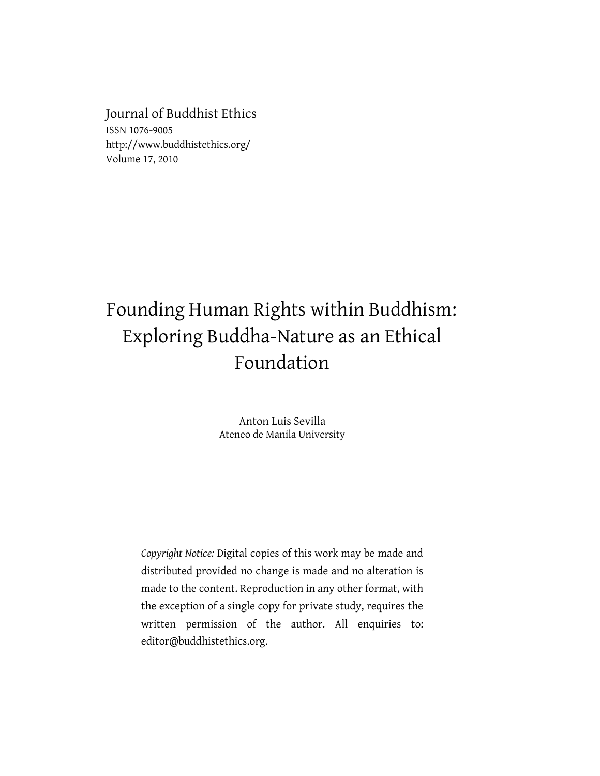Journal of Buddhist Ethics ISSN 1076-9005 http://www.buddhistethics.org/ Volume 17, 2010

# Founding Human Rights within Buddhism: Exploring Buddha-Nature as an Ethical Foundation

Anton Luis Sevilla Ateneo de Manila University

*Copyright Notice:* Digital copies of this work may be made and distributed provided no change is made and no alteration is made to the content. Reproduction in any other format, with the exception of a single copy for private study, requires the written permission of the author. All enquiries to: editor@buddhistethics.org.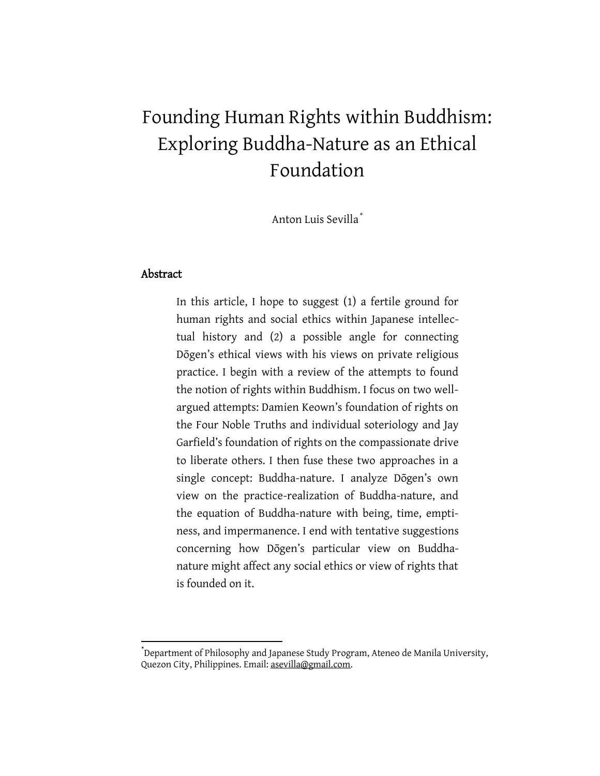# Founding Human Rights within Buddhism: Exploring Buddha-Nature as an Ethical Foundation

Anton Luis Sevilla\*

# Abstract

 $\overline{a}$ 

In this article, I hope to suggest (1) a fertile ground for human rights and social ethics within Japanese intellectual history and (2) a possible angle for connecting Dōgen's ethical views with his views on private religious practice. I begin with a review of the attempts to found the notion of rights within Buddhism. I focus on two wellargued attempts: Damien Keown's foundation of rights on the Four Noble Truths and individual soteriology and Jay Garfield's foundation of rights on the compassionate drive to liberate others. I then fuse these two approaches in a single concept: Buddha-nature. I analyze Dōgen's own view on the practice-realization of Buddha-nature, and the equation of Buddha-nature with being, time, emptiness, and impermanence. I end with tentative suggestions concerning how Dogen's particular view on Buddhanature might affect any social ethics or view of rights that is founded on it.

<sup>\*</sup> Department of Philosophy and Japanese Study Program, Ateneo de Manila University, Quezon City, Philippines. Email[: as](mailto:emailaddress@sukhavati.edu)evilla@gmail.com.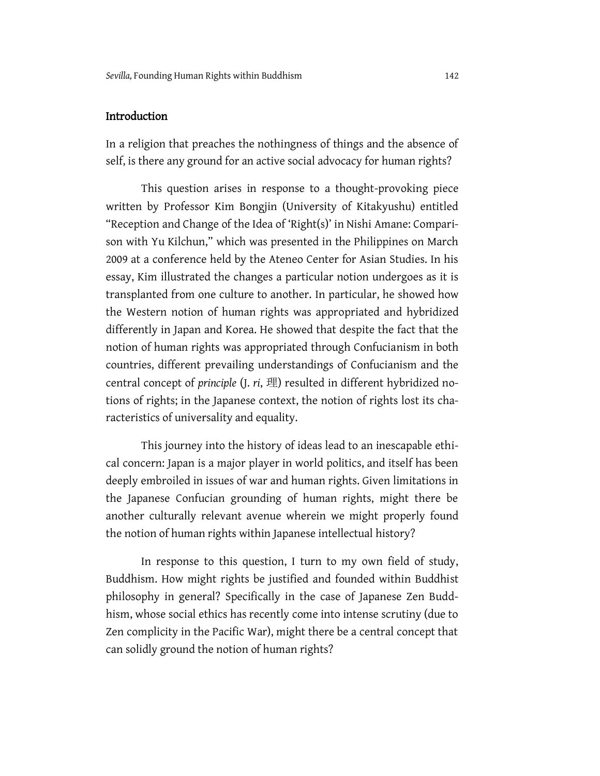# Introduction

In a religion that preaches the nothingness of things and the absence of self, is there any ground for an active social advocacy for human rights?

This question arises in response to a thought-provoking piece written by Professor Kim Bongjin (University of Kitakyushu) entitled "Reception and Change of the Idea of 'Right(s)' in Nishi Amane: Comparison with Yu Kilchun," which was presented in the Philippines on March 2009 at a conference held by the Ateneo Center for Asian Studies. In his essay, Kim illustrated the changes a particular notion undergoes as it is transplanted from one culture to another. In particular, he showed how the Western notion of human rights was appropriated and hybridized differently in Japan and Korea. He showed that despite the fact that the notion of human rights was appropriated through Confucianism in both countries, different prevailing understandings of Confucianism and the central concept of *principle* (J. *ri*, 理) resulted in different hybridized notions of rights; in the Japanese context, the notion of rights lost its characteristics of universality and equality.

This journey into the history of ideas lead to an inescapable ethical concern: Japan is a major player in world politics, and itself has been deeply embroiled in issues of war and human rights. Given limitations in the Japanese Confucian grounding of human rights, might there be another culturally relevant avenue wherein we might properly found the notion of human rights within Japanese intellectual history?

In response to this question, I turn to my own field of study, Buddhism. How might rights be justified and founded within Buddhist philosophy in general? Specifically in the case of Japanese Zen Buddhism, whose social ethics has recently come into intense scrutiny (due to Zen complicity in the Pacific War), might there be a central concept that can solidly ground the notion of human rights?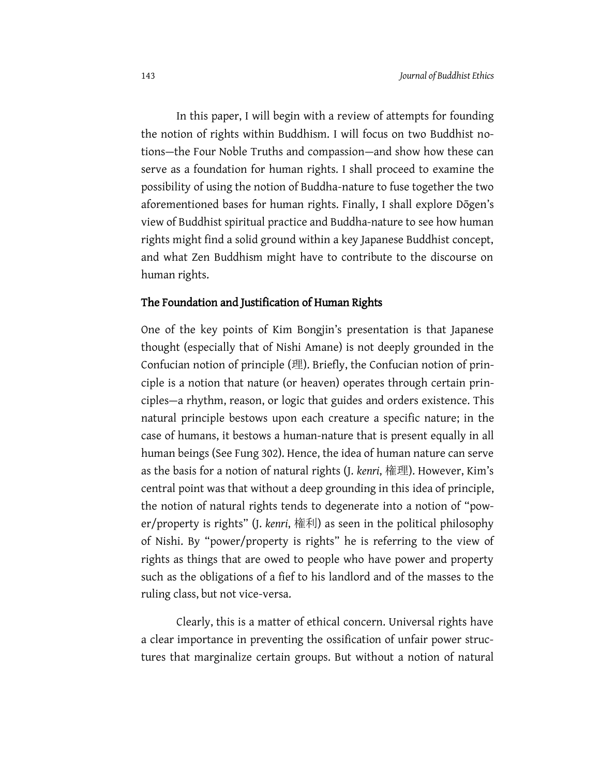In this paper, I will begin with a review of attempts for founding the notion of rights within Buddhism. I will focus on two Buddhist notions—the Four Noble Truths and compassion—and show how these can serve as a foundation for human rights. I shall proceed to examine the possibility of using the notion of Buddha-nature to fuse together the two aforementioned bases for human rights. Finally, I shall explore Dōgen's view of Buddhist spiritual practice and Buddha-nature to see how human rights might find a solid ground within a key Japanese Buddhist concept, and what Zen Buddhism might have to contribute to the discourse on human rights.

#### The Foundation and Justification of Human Rights

One of the key points of Kim Bongjin's presentation is that Japanese thought (especially that of Nishi Amane) is not deeply grounded in the Confucian notion of principle (理). Briefly, the Confucian notion of principle is a notion that nature (or heaven) operates through certain principles—a rhythm, reason, or logic that guides and orders existence. This natural principle bestows upon each creature a specific nature; in the case of humans, it bestows a human-nature that is present equally in all human beings (See Fung 302). Hence, the idea of human nature can serve as the basis for a notion of natural rights (J. *kenri*, 権理). However, Kim's central point was that without a deep grounding in this idea of principle, the notion of natural rights tends to degenerate into a notion of "power/property is rights" (J. *kenri*, 権利) as seen in the political philosophy of Nishi. By "power/property is rights" he is referring to the view of rights as things that are owed to people who have power and property such as the obligations of a fief to his landlord and of the masses to the ruling class, but not vice-versa.

Clearly, this is a matter of ethical concern. Universal rights have a clear importance in preventing the ossification of unfair power structures that marginalize certain groups. But without a notion of natural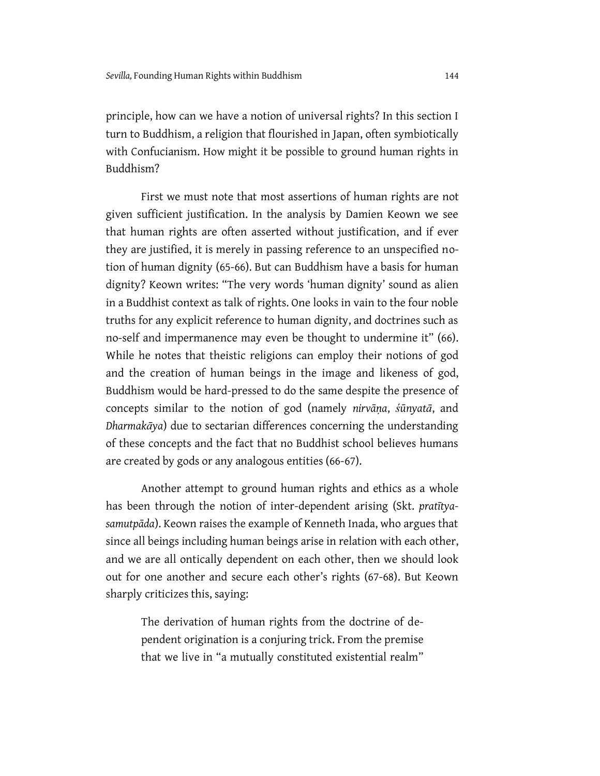principle, how can we have a notion of universal rights? In this section I turn to Buddhism, a religion that flourished in Japan, often symbiotically with Confucianism. How might it be possible to ground human rights in Buddhism?

First we must note that most assertions of human rights are not given sufficient justification. In the analysis by Damien Keown we see that human rights are often asserted without justification, and if ever they are justified, it is merely in passing reference to an unspecified notion of human dignity (65-66). But can Buddhism have a basis for human dignity? Keown writes: "The very words 'human dignity' sound as alien in a Buddhist context as talk of rights. One looks in vain to the four noble truths for any explicit reference to human dignity, and doctrines such as no-self and impermanence may even be thought to undermine it" (66). While he notes that theistic religions can employ their notions of god and the creation of human beings in the image and likeness of god, Buddhism would be hard-pressed to do the same despite the presence of concepts similar to the notion of god (namely *nirvāṇa*, *śūnyatā*, and *Dharmakāya*) due to sectarian differences concerning the understanding of these concepts and the fact that no Buddhist school believes humans are created by gods or any analogous entities (66-67).

Another attempt to ground human rights and ethics as a whole has been through the notion of inter-dependent arising (Skt. *pratītyasamutpāda*). Keown raises the example of Kenneth Inada, who argues that since all beings including human beings arise in relation with each other, and we are all ontically dependent on each other, then we should look out for one another and secure each other's rights (67-68). But Keown sharply criticizes this, saying:

The derivation of human rights from the doctrine of dependent origination is a conjuring trick. From the premise that we live in "a mutually constituted existential realm"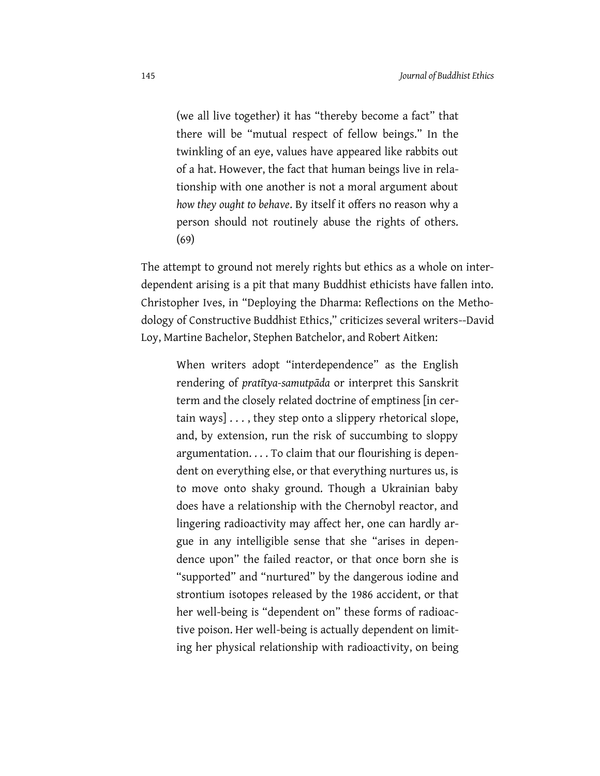(we all live together) it has "thereby become a fact" that there will be "mutual respect of fellow beings." In the twinkling of an eye, values have appeared like rabbits out of a hat. However, the fact that human beings live in relationship with one another is not a moral argument about *how they ought to behave*. By itself it offers no reason why a person should not routinely abuse the rights of others. (69)

The attempt to ground not merely rights but ethics as a whole on interdependent arising is a pit that many Buddhist ethicists have fallen into. Christopher Ives, in "Deploying the Dharma: Reflections on the Methodology of Constructive Buddhist Ethics," criticizes several writers--David Loy, Martine Bachelor, Stephen Batchelor, and Robert Aitken:

When writers adopt "interdependence" as the English rendering of *pratītya-samutpāda* or interpret this Sanskrit term and the closely related doctrine of emptiness [in certain ways] . . . , they step onto a slippery rhetorical slope, and, by extension, run the risk of succumbing to sloppy argumentation. . . . To claim that our flourishing is dependent on everything else, or that everything nurtures us, is to move onto shaky ground. Though a Ukrainian baby does have a relationship with the Chernobyl reactor, and lingering radioactivity may affect her, one can hardly argue in any intelligible sense that she "arises in dependence upon" the failed reactor, or that once born she is "supported" and "nurtured" by the dangerous iodine and strontium isotopes released by the 1986 accident, or that her well-being is "dependent on" these forms of radioactive poison. Her well-being is actually dependent on limiting her physical relationship with radioactivity, on being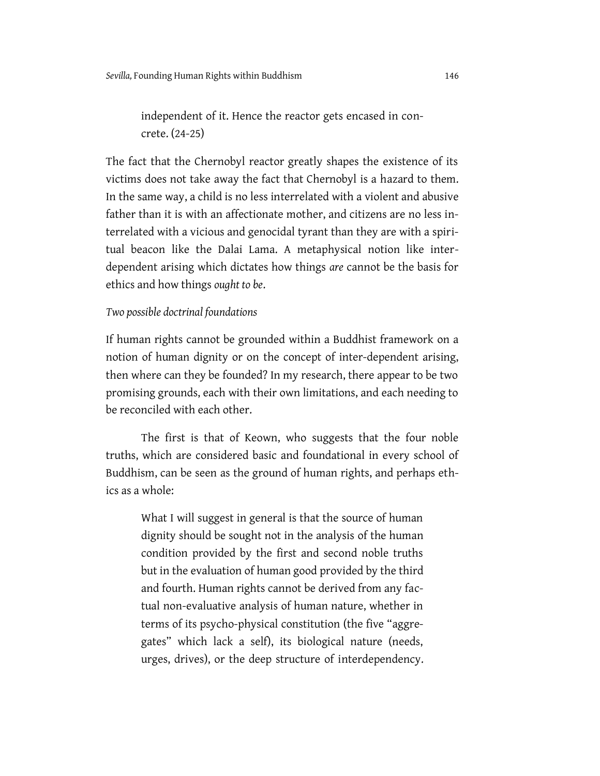independent of it. Hence the reactor gets encased in concrete. (24-25)

The fact that the Chernobyl reactor greatly shapes the existence of its victims does not take away the fact that Chernobyl is a hazard to them. In the same way, a child is no less interrelated with a violent and abusive father than it is with an affectionate mother, and citizens are no less interrelated with a vicious and genocidal tyrant than they are with a spiritual beacon like the Dalai Lama. A metaphysical notion like interdependent arising which dictates how things *are* cannot be the basis for ethics and how things *ought to be*.

### *Two possible doctrinal foundations*

If human rights cannot be grounded within a Buddhist framework on a notion of human dignity or on the concept of inter-dependent arising, then where can they be founded? In my research, there appear to be two promising grounds, each with their own limitations, and each needing to be reconciled with each other.

The first is that of Keown, who suggests that the four noble truths, which are considered basic and foundational in every school of Buddhism, can be seen as the ground of human rights, and perhaps ethics as a whole:

What I will suggest in general is that the source of human dignity should be sought not in the analysis of the human condition provided by the first and second noble truths but in the evaluation of human good provided by the third and fourth. Human rights cannot be derived from any factual non-evaluative analysis of human nature, whether in terms of its psycho-physical constitution (the five "aggregates" which lack a self), its biological nature (needs, urges, drives), or the deep structure of interdependency.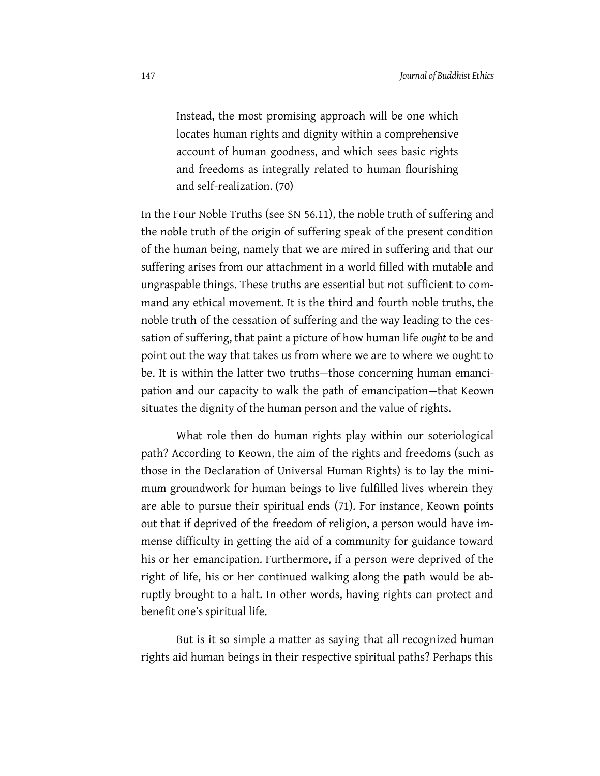Instead, the most promising approach will be one which locates human rights and dignity within a comprehensive account of human goodness, and which sees basic rights and freedoms as integrally related to human flourishing and self-realization. (70)

In the Four Noble Truths (see SN 56.11), the noble truth of suffering and the noble truth of the origin of suffering speak of the present condition of the human being, namely that we are mired in suffering and that our suffering arises from our attachment in a world filled with mutable and ungraspable things. These truths are essential but not sufficient to command any ethical movement. It is the third and fourth noble truths, the noble truth of the cessation of suffering and the way leading to the cessation of suffering, that paint a picture of how human life *ought* to be and point out the way that takes us from where we are to where we ought to be. It is within the latter two truths—those concerning human emancipation and our capacity to walk the path of emancipation—that Keown situates the dignity of the human person and the value of rights.

What role then do human rights play within our soteriological path? According to Keown, the aim of the rights and freedoms (such as those in the Declaration of Universal Human Rights) is to lay the minimum groundwork for human beings to live fulfilled lives wherein they are able to pursue their spiritual ends (71). For instance, Keown points out that if deprived of the freedom of religion, a person would have immense difficulty in getting the aid of a community for guidance toward his or her emancipation. Furthermore, if a person were deprived of the right of life, his or her continued walking along the path would be abruptly brought to a halt. In other words, having rights can protect and benefit one's spiritual life.

But is it so simple a matter as saying that all recognized human rights aid human beings in their respective spiritual paths? Perhaps this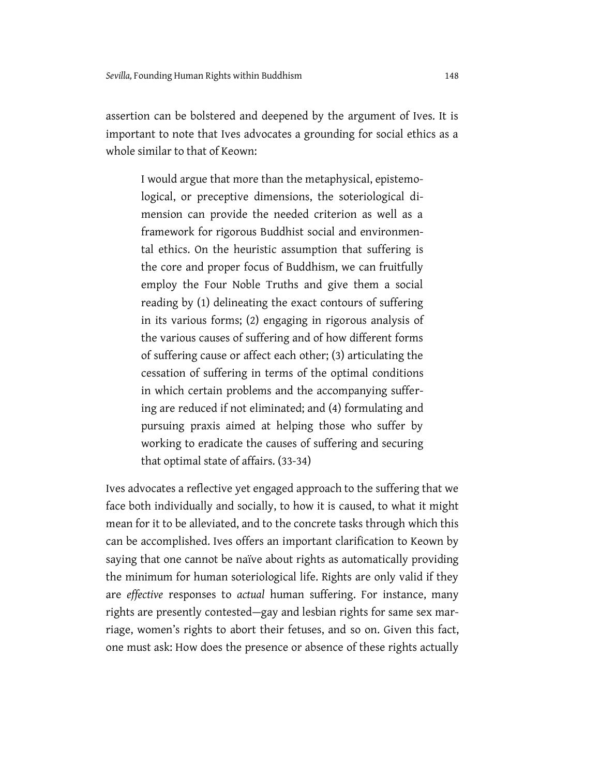assertion can be bolstered and deepened by the argument of Ives. It is important to note that Ives advocates a grounding for social ethics as a whole similar to that of Keown:

I would argue that more than the metaphysical, epistemological, or preceptive dimensions, the soteriological dimension can provide the needed criterion as well as a framework for rigorous Buddhist social and environmental ethics. On the heuristic assumption that suffering is the core and proper focus of Buddhism, we can fruitfully employ the Four Noble Truths and give them a social reading by (1) delineating the exact contours of suffering in its various forms; (2) engaging in rigorous analysis of the various causes of suffering and of how different forms of suffering cause or affect each other; (3) articulating the cessation of suffering in terms of the optimal conditions in which certain problems and the accompanying suffering are reduced if not eliminated; and (4) formulating and pursuing praxis aimed at helping those who suffer by working to eradicate the causes of suffering and securing that optimal state of affairs. (33-34)

Ives advocates a reflective yet engaged approach to the suffering that we face both individually and socially, to how it is caused, to what it might mean for it to be alleviated, and to the concrete tasks through which this can be accomplished. Ives offers an important clarification to Keown by saying that one cannot be naïve about rights as automatically providing the minimum for human soteriological life. Rights are only valid if they are *effective* responses to *actual* human suffering. For instance, many rights are presently contested—gay and lesbian rights for same sex marriage, women's rights to abort their fetuses, and so on. Given this fact, one must ask: How does the presence or absence of these rights actually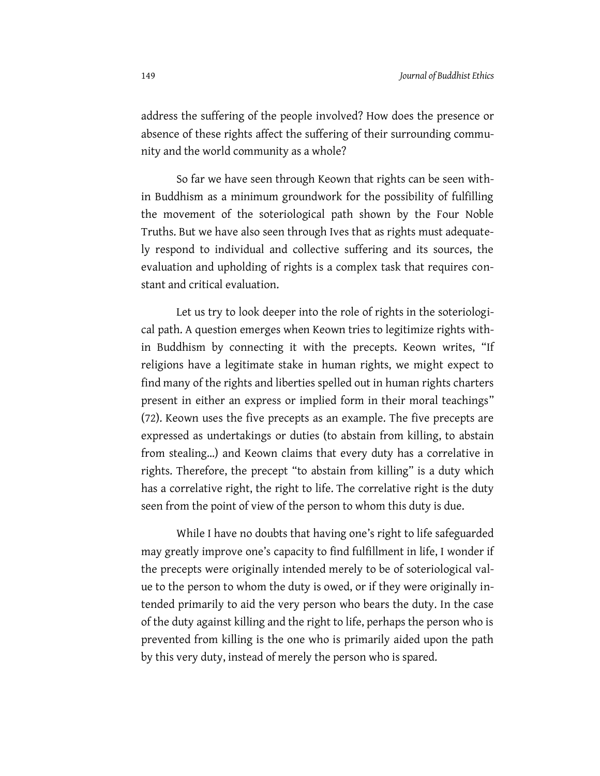address the suffering of the people involved? How does the presence or absence of these rights affect the suffering of their surrounding community and the world community as a whole?

So far we have seen through Keown that rights can be seen within Buddhism as a minimum groundwork for the possibility of fulfilling the movement of the soteriological path shown by the Four Noble Truths. But we have also seen through Ives that as rights must adequately respond to individual and collective suffering and its sources, the evaluation and upholding of rights is a complex task that requires constant and critical evaluation.

Let us try to look deeper into the role of rights in the soteriological path. A question emerges when Keown tries to legitimize rights within Buddhism by connecting it with the precepts. Keown writes, "If religions have a legitimate stake in human rights, we might expect to find many of the rights and liberties spelled out in human rights charters present in either an express or implied form in their moral teachings" (72). Keown uses the five precepts as an example. The five precepts are expressed as undertakings or duties (to abstain from killing, to abstain from stealing...) and Keown claims that every duty has a correlative in rights. Therefore, the precept "to abstain from killing" is a duty which has a correlative right, the right to life. The correlative right is the duty seen from the point of view of the person to whom this duty is due.

While I have no doubts that having one's right to life safeguarded may greatly improve one's capacity to find fulfillment in life, I wonder if the precepts were originally intended merely to be of soteriological value to the person to whom the duty is owed, or if they were originally intended primarily to aid the very person who bears the duty. In the case of the duty against killing and the right to life, perhaps the person who is prevented from killing is the one who is primarily aided upon the path by this very duty, instead of merely the person who is spared.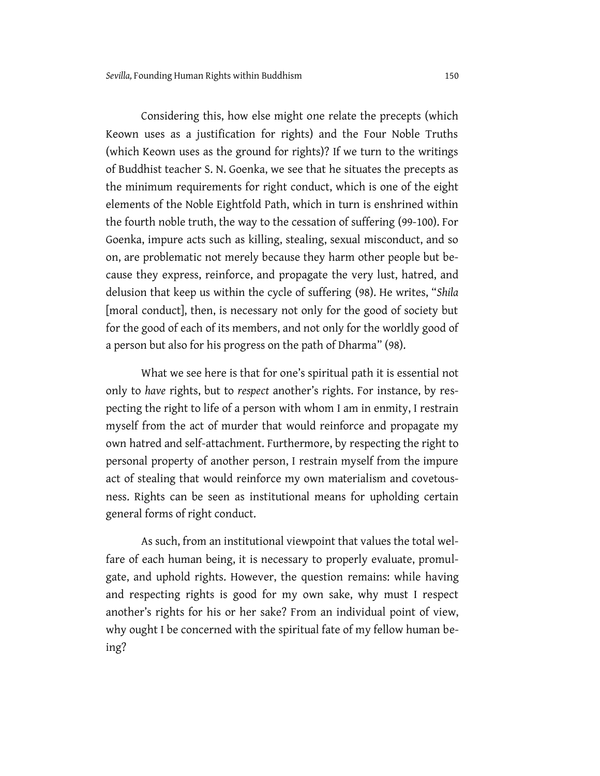Considering this, how else might one relate the precepts (which Keown uses as a justification for rights) and the Four Noble Truths (which Keown uses as the ground for rights)? If we turn to the writings of Buddhist teacher S. N. Goenka, we see that he situates the precepts as the minimum requirements for right conduct, which is one of the eight elements of the Noble Eightfold Path, which in turn is enshrined within the fourth noble truth, the way to the cessation of suffering (99-100). For Goenka, impure acts such as killing, stealing, sexual misconduct, and so on, are problematic not merely because they harm other people but because they express, reinforce, and propagate the very lust, hatred, and delusion that keep us within the cycle of suffering (98). He writes, "*Shila*  [moral conduct], then, is necessary not only for the good of society but for the good of each of its members, and not only for the worldly good of a person but also for his progress on the path of Dharma" (98).

What we see here is that for one's spiritual path it is essential not only to *have* rights, but to *respect* another's rights. For instance, by respecting the right to life of a person with whom I am in enmity, I restrain myself from the act of murder that would reinforce and propagate my own hatred and self-attachment. Furthermore, by respecting the right to personal property of another person, I restrain myself from the impure act of stealing that would reinforce my own materialism and covetousness. Rights can be seen as institutional means for upholding certain general forms of right conduct.

As such, from an institutional viewpoint that values the total welfare of each human being, it is necessary to properly evaluate, promulgate, and uphold rights. However, the question remains: while having and respecting rights is good for my own sake, why must I respect another's rights for his or her sake? From an individual point of view, why ought I be concerned with the spiritual fate of my fellow human being?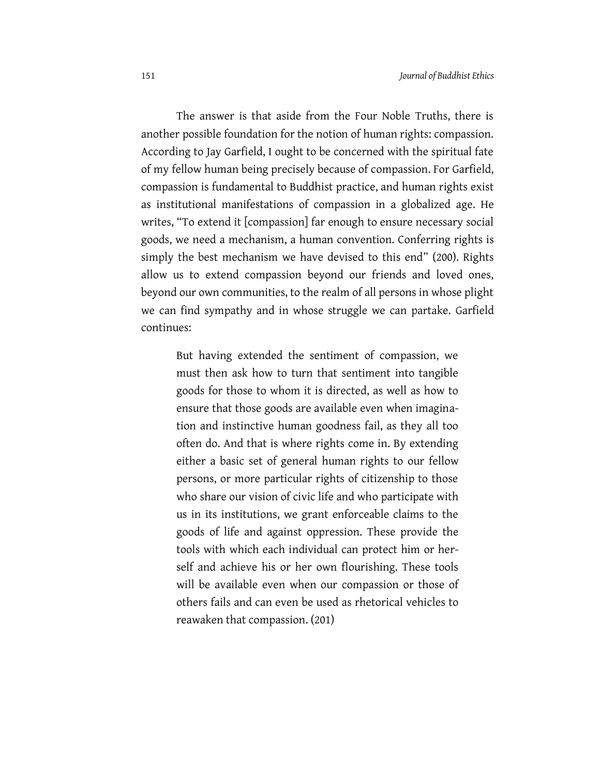The answer is that aside from the Four Noble Truths, there is another possible foundation for the notion of human rights: compassion. According to Jay Garfield, I ought to be concerned with the spiritual fate of my fellow human being precisely because of compassion. For Garfield, compassion is fundamental to Buddhist practice, and human rights exist as institutional manifestations of compassion in a globalized age. He writes, "To extend it [compassion] far enough to ensure necessary social goods, we need a mechanism, a human convention. Conferring rights is simply the best mechanism we have devised to this end" (200). Rights allow us to extend compassion beyond our friends and loved ones, beyond our own communities, to the realm of all persons in whose plight we can find sympathy and in whose struggle we can partake. Garfield continues:

But having extended the sentiment of compassion, we must then ask how to turn that sentiment into tangible goods for those to whom it is directed, as well as how to ensure that those goods are available even when imagination and instinctive human goodness fail, as they all too often do. And that is where rights come in. By extending either a basic set of general human rights to our fellow persons, or more particular rights of citizenship to those who share our vision of civic life and who participate with us in its institutions, we grant enforceable claims to the goods of life and against oppression. These provide the tools with which each individual can protect him or herself and achieve his or her own flourishing. These tools will be available even when our compassion or those of others fails and can even be used as rhetorical vehicles to reawaken that compassion. (201)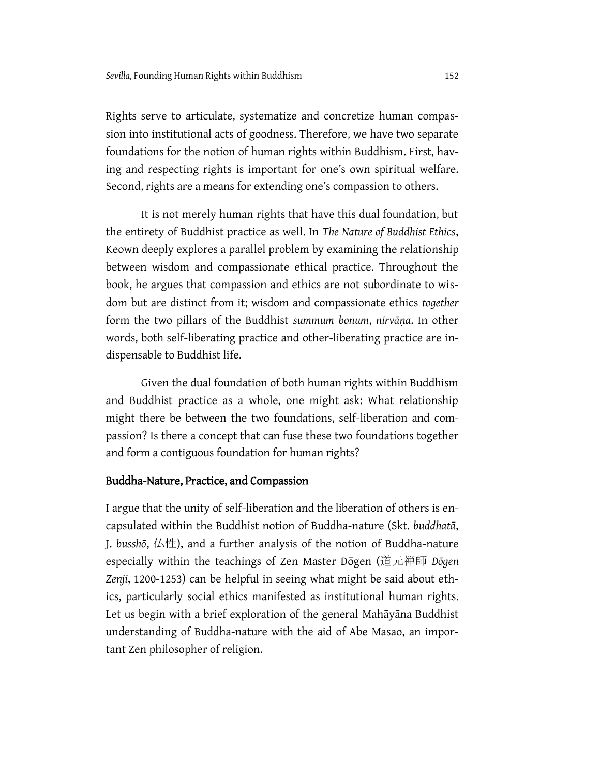Rights serve to articulate, systematize and concretize human compassion into institutional acts of goodness. Therefore, we have two separate foundations for the notion of human rights within Buddhism. First, having and respecting rights is important for one's own spiritual welfare. Second, rights are a means for extending one's compassion to others.

It is not merely human rights that have this dual foundation, but the entirety of Buddhist practice as well. In *The Nature of Buddhist Ethics*, Keown deeply explores a parallel problem by examining the relationship between wisdom and compassionate ethical practice. Throughout the book, he argues that compassion and ethics are not subordinate to wisdom but are distinct from it; wisdom and compassionate ethics *together* form the two pillars of the Buddhist *summum bonum*, *nirvāṇa*. In other words, both self-liberating practice and other-liberating practice are indispensable to Buddhist life.

Given the dual foundation of both human rights within Buddhism and Buddhist practice as a whole, one might ask: What relationship might there be between the two foundations, self-liberation and compassion? Is there a concept that can fuse these two foundations together and form a contiguous foundation for human rights?

### Buddha-Nature, Practice, and Compassion

I argue that the unity of self-liberation and the liberation of others is encapsulated within the Buddhist notion of Buddha-nature (Skt. *buddhatā*, J. *busshō*, 仏性), and a further analysis of the notion of Buddha-nature especially within the teachings of Zen Master Dōgen (道元禅師 *Dōgen Zenji*, 1200-1253) can be helpful in seeing what might be said about ethics, particularly social ethics manifested as institutional human rights. Let us begin with a brief exploration of the general Mahāyāna Buddhist understanding of Buddha-nature with the aid of Abe Masao, an important Zen philosopher of religion.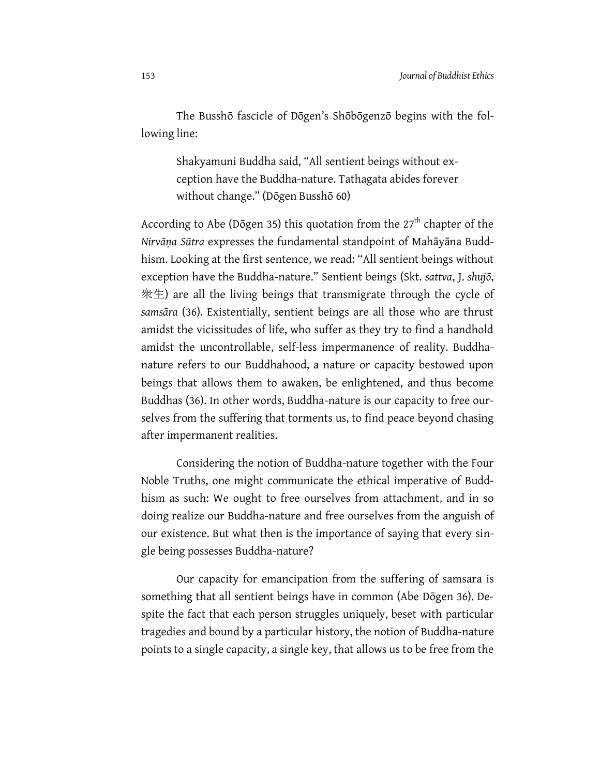The Busshō fascicle of Dōgen's Shōbōgenzō begins with the following line:

Shakyamuni Buddha said, "All sentient beings without exception have the Buddha-nature. Tathagata abides forever without change." (Dōgen Busshō 60)

According to Abe (Dōgen 35) this quotation from the  $27<sup>th</sup>$  chapter of the *Nirvāṇa Sūtra* expresses the fundamental standpoint of Mahāyāna Buddhism. Looking at the first sentence, we read: "All sentient beings without exception have the Buddha-nature." Sentient beings (Skt. *sattva*, J. *shujō*, 衆生) are all the living beings that transmigrate through the cycle of *samsāra* (36)*.* Existentially, sentient beings are all those who are thrust amidst the vicissitudes of life, who suffer as they try to find a handhold amidst the uncontrollable, self-less impermanence of reality. Buddhanature refers to our Buddhahood, a nature or capacity bestowed upon beings that allows them to awaken, be enlightened, and thus become Buddhas (36). In other words, Buddha-nature is our capacity to free ourselves from the suffering that torments us, to find peace beyond chasing after impermanent realities.

Considering the notion of Buddha-nature together with the Four Noble Truths, one might communicate the ethical imperative of Buddhism as such: We ought to free ourselves from attachment, and in so doing realize our Buddha-nature and free ourselves from the anguish of our existence. But what then is the importance of saying that every single being possesses Buddha-nature?

Our capacity for emancipation from the suffering of samsara is something that all sentient beings have in common (Abe Dōgen 36). Despite the fact that each person struggles uniquely, beset with particular tragedies and bound by a particular history, the notion of Buddha-nature points to a single capacity, a single key, that allows us to be free from the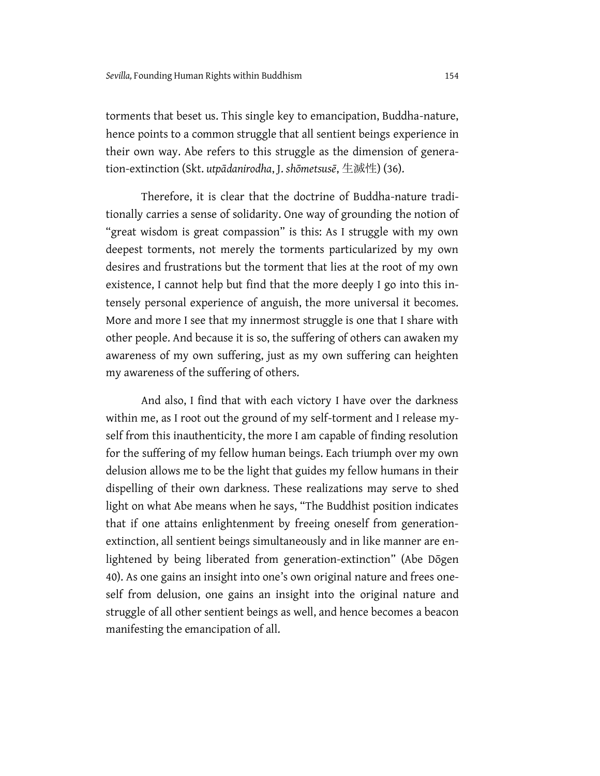torments that beset us. This single key to emancipation, Buddha-nature, hence points to a common struggle that all sentient beings experience in their own way. Abe refers to this struggle as the dimension of generation-extinction (Skt. *utpādanirodha*, J. *shōmetsusē*, 生滅性) (36).

Therefore, it is clear that the doctrine of Buddha-nature traditionally carries a sense of solidarity. One way of grounding the notion of "great wisdom is great compassion" is this: As I struggle with my own deepest torments, not merely the torments particularized by my own desires and frustrations but the torment that lies at the root of my own existence, I cannot help but find that the more deeply I go into this intensely personal experience of anguish, the more universal it becomes. More and more I see that my innermost struggle is one that I share with other people. And because it is so, the suffering of others can awaken my awareness of my own suffering, just as my own suffering can heighten my awareness of the suffering of others.

And also, I find that with each victory I have over the darkness within me, as I root out the ground of my self-torment and I release myself from this inauthenticity, the more I am capable of finding resolution for the suffering of my fellow human beings. Each triumph over my own delusion allows me to be the light that guides my fellow humans in their dispelling of their own darkness. These realizations may serve to shed light on what Abe means when he says, "The Buddhist position indicates that if one attains enlightenment by freeing oneself from generationextinction, all sentient beings simultaneously and in like manner are enlightened by being liberated from generation-extinction" (Abe Dōgen 40). As one gains an insight into one's own original nature and frees oneself from delusion, one gains an insight into the original nature and struggle of all other sentient beings as well, and hence becomes a beacon manifesting the emancipation of all.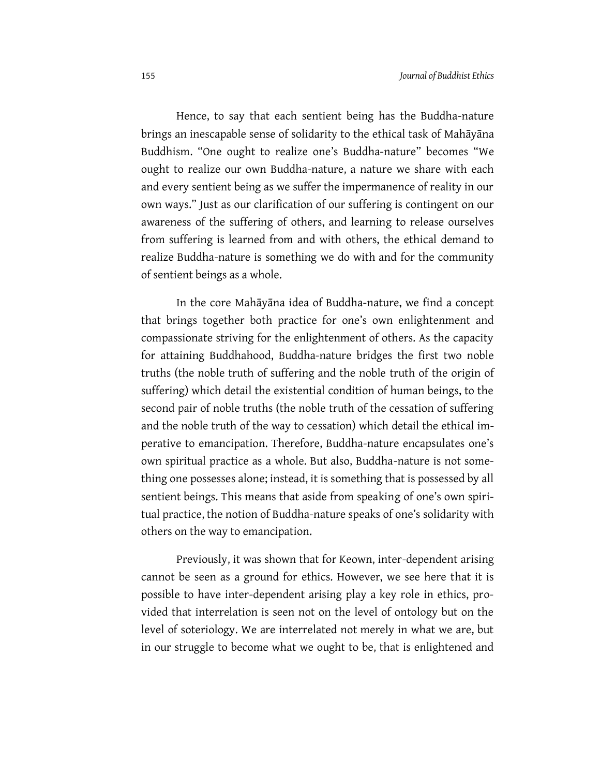Hence, to say that each sentient being has the Buddha-nature brings an inescapable sense of solidarity to the ethical task of Mahāyāna Buddhism. "One ought to realize one's Buddha-nature" becomes "We ought to realize our own Buddha-nature, a nature we share with each and every sentient being as we suffer the impermanence of reality in our own ways." Just as our clarification of our suffering is contingent on our awareness of the suffering of others, and learning to release ourselves from suffering is learned from and with others, the ethical demand to realize Buddha-nature is something we do with and for the community of sentient beings as a whole.

In the core Mahāyāna idea of Buddha-nature, we find a concept that brings together both practice for one's own enlightenment and compassionate striving for the enlightenment of others. As the capacity for attaining Buddhahood, Buddha-nature bridges the first two noble truths (the noble truth of suffering and the noble truth of the origin of suffering) which detail the existential condition of human beings, to the second pair of noble truths (the noble truth of the cessation of suffering and the noble truth of the way to cessation) which detail the ethical imperative to emancipation. Therefore, Buddha-nature encapsulates one's own spiritual practice as a whole. But also, Buddha-nature is not something one possesses alone; instead, it is something that is possessed by all sentient beings. This means that aside from speaking of one's own spiritual practice, the notion of Buddha-nature speaks of one's solidarity with others on the way to emancipation.

Previously, it was shown that for Keown, inter-dependent arising cannot be seen as a ground for ethics. However, we see here that it is possible to have inter-dependent arising play a key role in ethics, provided that interrelation is seen not on the level of ontology but on the level of soteriology. We are interrelated not merely in what we are, but in our struggle to become what we ought to be, that is enlightened and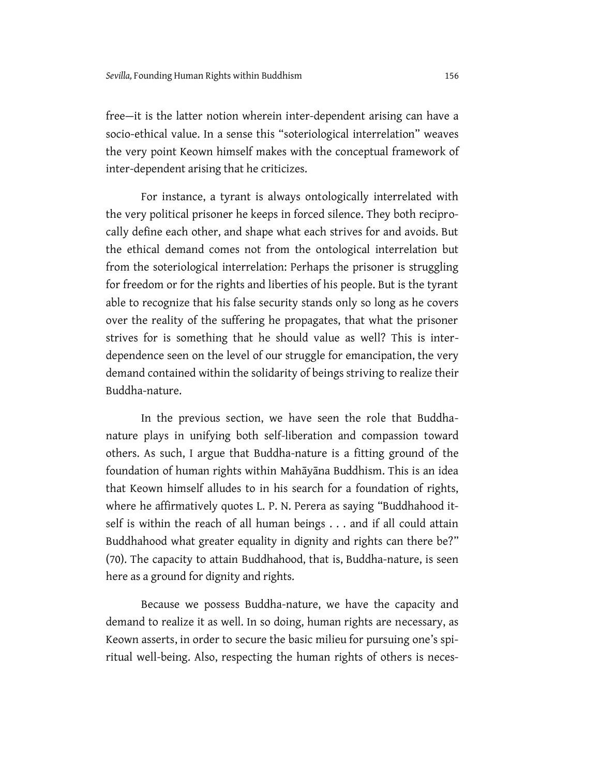free—it is the latter notion wherein inter-dependent arising can have a socio-ethical value. In a sense this "soteriological interrelation" weaves the very point Keown himself makes with the conceptual framework of inter-dependent arising that he criticizes.

For instance, a tyrant is always ontologically interrelated with the very political prisoner he keeps in forced silence. They both reciprocally define each other, and shape what each strives for and avoids. But the ethical demand comes not from the ontological interrelation but from the soteriological interrelation: Perhaps the prisoner is struggling for freedom or for the rights and liberties of his people. But is the tyrant able to recognize that his false security stands only so long as he covers over the reality of the suffering he propagates, that what the prisoner strives for is something that he should value as well? This is interdependence seen on the level of our struggle for emancipation, the very demand contained within the solidarity of beings striving to realize their Buddha-nature.

In the previous section, we have seen the role that Buddhanature plays in unifying both self-liberation and compassion toward others. As such, I argue that Buddha-nature is a fitting ground of the foundation of human rights within Mahāyāna Buddhism. This is an idea that Keown himself alludes to in his search for a foundation of rights, where he affirmatively quotes L. P. N. Perera as saying "Buddhahood itself is within the reach of all human beings . . . and if all could attain Buddhahood what greater equality in dignity and rights can there be?" (70). The capacity to attain Buddhahood, that is, Buddha-nature, is seen here as a ground for dignity and rights.

Because we possess Buddha-nature, we have the capacity and demand to realize it as well. In so doing, human rights are necessary, as Keown asserts, in order to secure the basic milieu for pursuing one's spiritual well-being. Also, respecting the human rights of others is neces-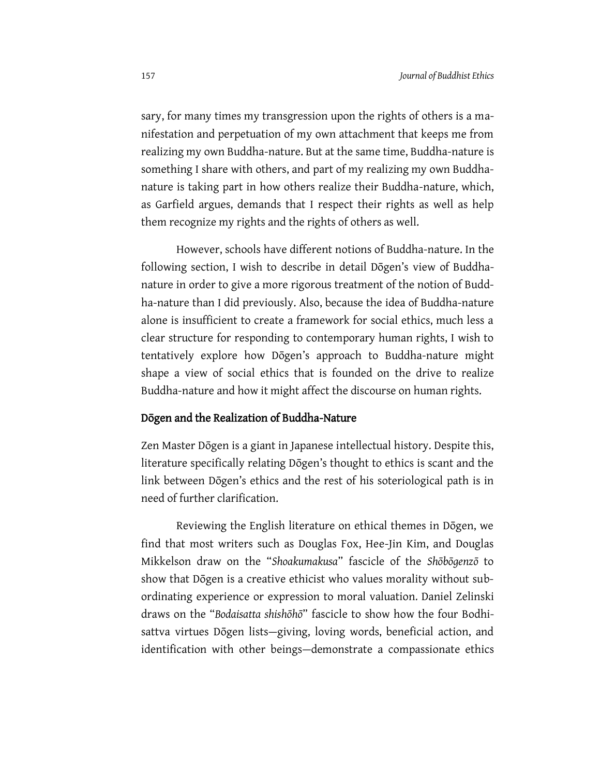sary, for many times my transgression upon the rights of others is a manifestation and perpetuation of my own attachment that keeps me from realizing my own Buddha-nature. But at the same time, Buddha-nature is something I share with others, and part of my realizing my own Buddhanature is taking part in how others realize their Buddha-nature, which, as Garfield argues, demands that I respect their rights as well as help them recognize my rights and the rights of others as well.

However, schools have different notions of Buddha-nature. In the following section, I wish to describe in detail Dōgen's view of Buddhanature in order to give a more rigorous treatment of the notion of Buddha-nature than I did previously. Also, because the idea of Buddha-nature alone is insufficient to create a framework for social ethics, much less a clear structure for responding to contemporary human rights, I wish to tentatively explore how Dōgen's approach to Buddha-nature might shape a view of social ethics that is founded on the drive to realize Buddha-nature and how it might affect the discourse on human rights.

#### Dōgen and the Realization of Buddha-Nature

Zen Master Dōgen is a giant in Japanese intellectual history. Despite this, literature specifically relating Dōgen's thought to ethics is scant and the link between Dōgen's ethics and the rest of his soteriological path is in need of further clarification.

Reviewing the English literature on ethical themes in Dōgen, we find that most writers such as Douglas Fox, Hee-Jin Kim, and Douglas Mikkelson draw on the "*Shoakumakusa*" fascicle of the *Shōbōgenzō* to show that Dōgen is a creative ethicist who values morality without subordinating experience or expression to moral valuation*.* Daniel Zelinski draws on the "*Bodaisatta shishōhō*" fascicle to show how the four Bodhisattva virtues Dōgen lists—giving, loving words, beneficial action, and identification with other beings—demonstrate a compassionate ethics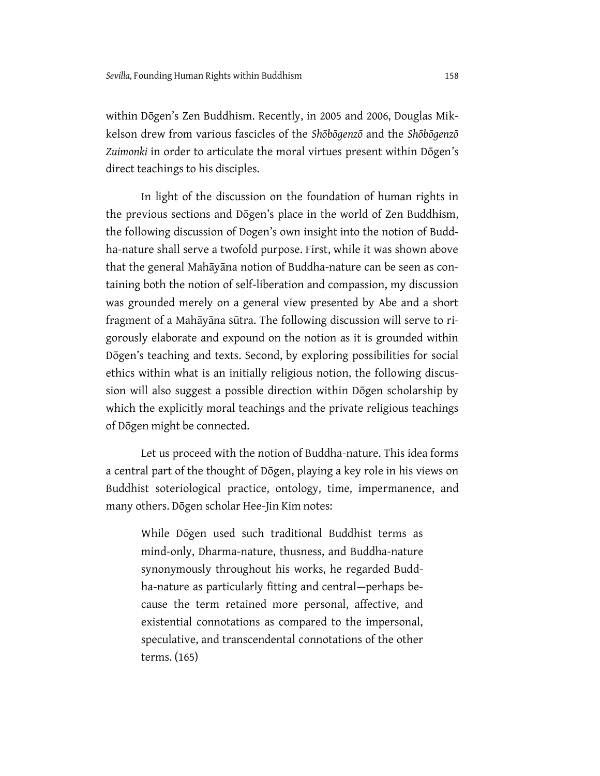within Dōgen's Zen Buddhism. Recently, in 2005 and 2006, Douglas Mikkelson drew from various fascicles of the *Shōbōgenzō* and the *Shōbōgenzō*  Zuimonki in order to articulate the moral virtues present within Dōgen's direct teachings to his disciples.

In light of the discussion on the foundation of human rights in the previous sections and Dōgen's place in the world of Zen Buddhism, the following discussion of Dogen's own insight into the notion of Buddha-nature shall serve a twofold purpose. First, while it was shown above that the general Mahāyāna notion of Buddha-nature can be seen as containing both the notion of self-liberation and compassion, my discussion was grounded merely on a general view presented by Abe and a short fragment of a Mahāyāna sūtra. The following discussion will serve to rigorously elaborate and expound on the notion as it is grounded within Dōgen's teaching and texts. Second, by exploring possibilities for social ethics within what is an initially religious notion, the following discussion will also suggest a possible direction within Dōgen scholarship by which the explicitly moral teachings and the private religious teachings of Dōgen might be connected.

Let us proceed with the notion of Buddha-nature. This idea forms a central part of the thought of Dōgen, playing a key role in his views on Buddhist soteriological practice, ontology, time, impermanence, and many others. Dōgen scholar Hee-Jin Kim notes:

While Dōgen used such traditional Buddhist terms as mind-only, Dharma-nature, thusness, and Buddha-nature synonymously throughout his works, he regarded Buddha-nature as particularly fitting and central—perhaps because the term retained more personal, affective, and existential connotations as compared to the impersonal, speculative, and transcendental connotations of the other terms. (165)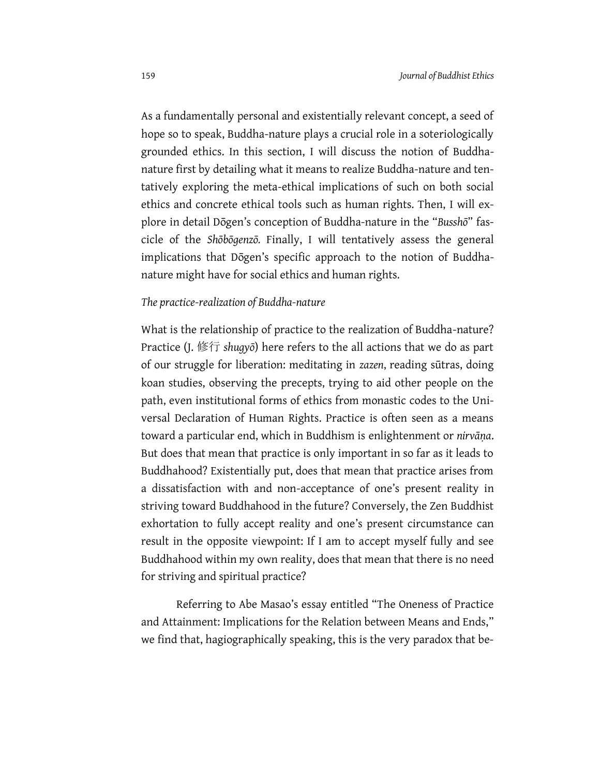As a fundamentally personal and existentially relevant concept, a seed of hope so to speak, Buddha-nature plays a crucial role in a soteriologically grounded ethics. In this section, I will discuss the notion of Buddhanature first by detailing what it means to realize Buddha-nature and tentatively exploring the meta-ethical implications of such on both social ethics and concrete ethical tools such as human rights. Then, I will explore in detail Dōgen's conception of Buddha-nature in the "Busshō" fascicle of the *Shōbōgenzō.* Finally, I will tentatively assess the general implications that Dōgen's specific approach to the notion of Buddhanature might have for social ethics and human rights.

### *The practice-realization of Buddha-nature*

What is the relationship of practice to the realization of Buddha-nature? Practice (J. 修行 *shugyō*) here refers to the all actions that we do as part of our struggle for liberation: meditating in *zazen*, reading sūtras, doing koan studies, observing the precepts, trying to aid other people on the path, even institutional forms of ethics from monastic codes to the Universal Declaration of Human Rights. Practice is often seen as a means toward a particular end, which in Buddhism is enlightenment or *nirvāṇa*. But does that mean that practice is only important in so far as it leads to Buddhahood? Existentially put, does that mean that practice arises from a dissatisfaction with and non-acceptance of one's present reality in striving toward Buddhahood in the future? Conversely, the Zen Buddhist exhortation to fully accept reality and one's present circumstance can result in the opposite viewpoint: If I am to accept myself fully and see Buddhahood within my own reality, does that mean that there is no need for striving and spiritual practice?

Referring to Abe Masao's essay entitled "The Oneness of Practice and Attainment: Implications for the Relation between Means and Ends," we find that, hagiographically speaking, this is the very paradox that be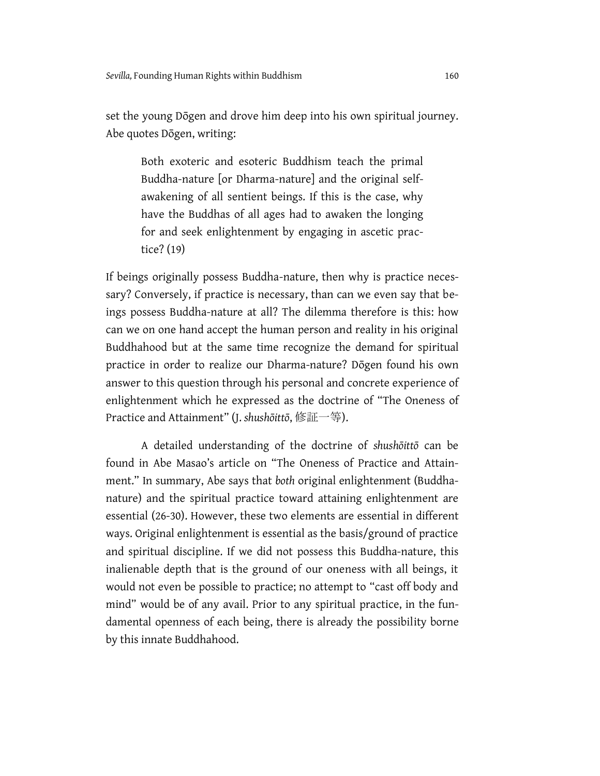set the young Dōgen and drove him deep into his own spiritual journey. Abe quotes Dōgen, writing:

Both exoteric and esoteric Buddhism teach the primal Buddha-nature [or Dharma-nature] and the original selfawakening of all sentient beings. If this is the case, why have the Buddhas of all ages had to awaken the longing for and seek enlightenment by engaging in ascetic practice? (19)

If beings originally possess Buddha-nature, then why is practice necessary? Conversely, if practice is necessary, than can we even say that beings possess Buddha-nature at all? The dilemma therefore is this: how can we on one hand accept the human person and reality in his original Buddhahood but at the same time recognize the demand for spiritual practice in order to realize our Dharma-nature? Dōgen found his own answer to this question through his personal and concrete experience of enlightenment which he expressed as the doctrine of "The Oneness of Practice and Attainment" (J. *shushōittō*, 修証一等).

A detailed understanding of the doctrine of *shushōittō* can be found in Abe Masao's article on "The Oneness of Practice and Attainment." In summary, Abe says that *both* original enlightenment (Buddhanature) and the spiritual practice toward attaining enlightenment are essential (26-30). However, these two elements are essential in different ways. Original enlightenment is essential as the basis/ground of practice and spiritual discipline. If we did not possess this Buddha-nature, this inalienable depth that is the ground of our oneness with all beings, it would not even be possible to practice; no attempt to "cast off body and mind" would be of any avail. Prior to any spiritual practice, in the fundamental openness of each being, there is already the possibility borne by this innate Buddhahood.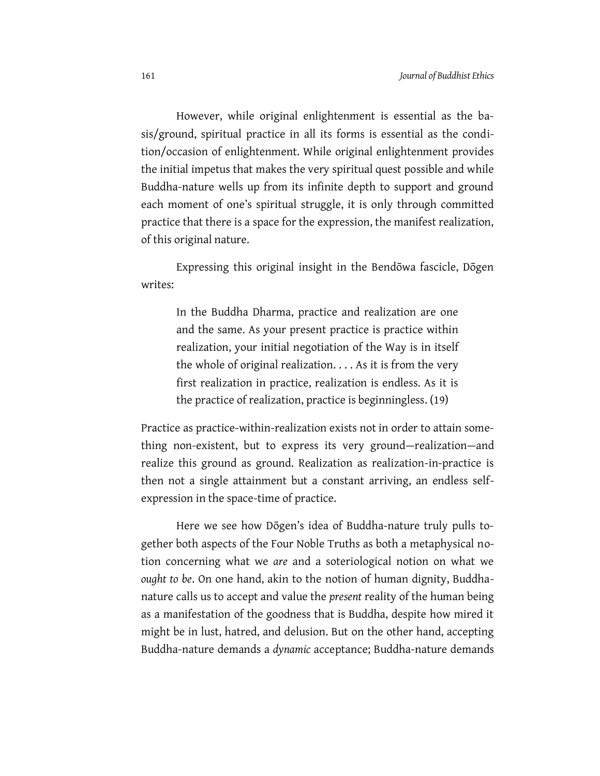However, while original enlightenment is essential as the basis/ground, spiritual practice in all its forms is essential as the condition/occasion of enlightenment. While original enlightenment provides the initial impetus that makes the very spiritual quest possible and while Buddha-nature wells up from its infinite depth to support and ground each moment of one's spiritual struggle, it is only through committed practice that there is a space for the expression, the manifest realization, of this original nature.

Expressing this original insight in the Bendōwa fascicle, Dōgen writes:

In the Buddha Dharma, practice and realization are one and the same. As your present practice is practice within realization, your initial negotiation of the Way is in itself the whole of original realization. . . . As it is from the very first realization in practice, realization is endless. As it is the practice of realization, practice is beginningless. (19)

Practice as practice-within-realization exists not in order to attain something non-existent, but to express its very ground—realization—and realize this ground as ground. Realization as realization-in-practice is then not a single attainment but a constant arriving, an endless selfexpression in the space-time of practice.

Here we see how Dōgen's idea of Buddha-nature truly pulls together both aspects of the Four Noble Truths as both a metaphysical notion concerning what we *are* and a soteriological notion on what we *ought to be*. On one hand, akin to the notion of human dignity, Buddhanature calls us to accept and value the *present* reality of the human being as a manifestation of the goodness that is Buddha, despite how mired it might be in lust, hatred, and delusion. But on the other hand, accepting Buddha-nature demands a *dynamic* acceptance; Buddha-nature demands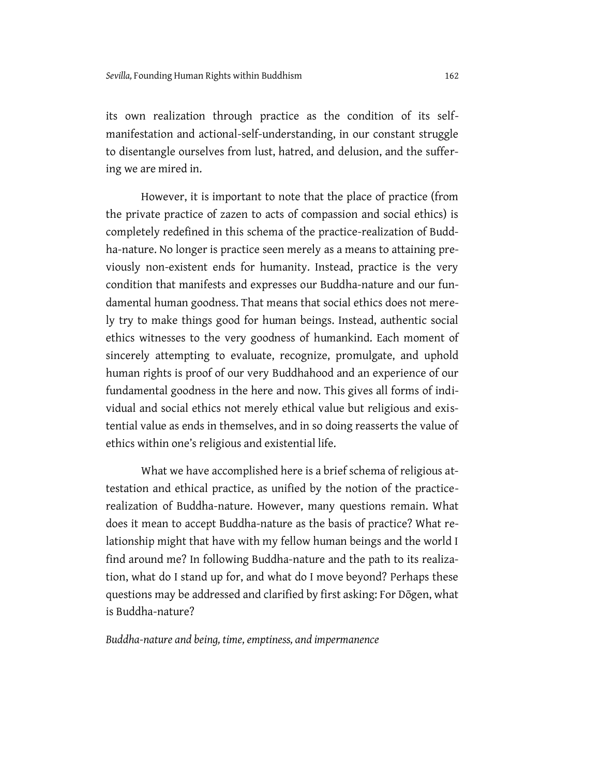its own realization through practice as the condition of its selfmanifestation and actional-self-understanding, in our constant struggle to disentangle ourselves from lust, hatred, and delusion, and the suffering we are mired in.

However, it is important to note that the place of practice (from the private practice of zazen to acts of compassion and social ethics) is completely redefined in this schema of the practice-realization of Buddha-nature. No longer is practice seen merely as a means to attaining previously non-existent ends for humanity. Instead, practice is the very condition that manifests and expresses our Buddha-nature and our fundamental human goodness. That means that social ethics does not merely try to make things good for human beings. Instead, authentic social ethics witnesses to the very goodness of humankind. Each moment of sincerely attempting to evaluate, recognize, promulgate, and uphold human rights is proof of our very Buddhahood and an experience of our fundamental goodness in the here and now. This gives all forms of individual and social ethics not merely ethical value but religious and existential value as ends in themselves, and in so doing reasserts the value of ethics within one's religious and existential life.

What we have accomplished here is a brief schema of religious attestation and ethical practice, as unified by the notion of the practicerealization of Buddha-nature. However, many questions remain. What does it mean to accept Buddha-nature as the basis of practice? What relationship might that have with my fellow human beings and the world I find around me? In following Buddha-nature and the path to its realization, what do I stand up for, and what do I move beyond? Perhaps these questions may be addressed and clarified by first asking: For Dōgen, what is Buddha-nature?

*Buddha-nature and being, time, emptiness, and impermanence*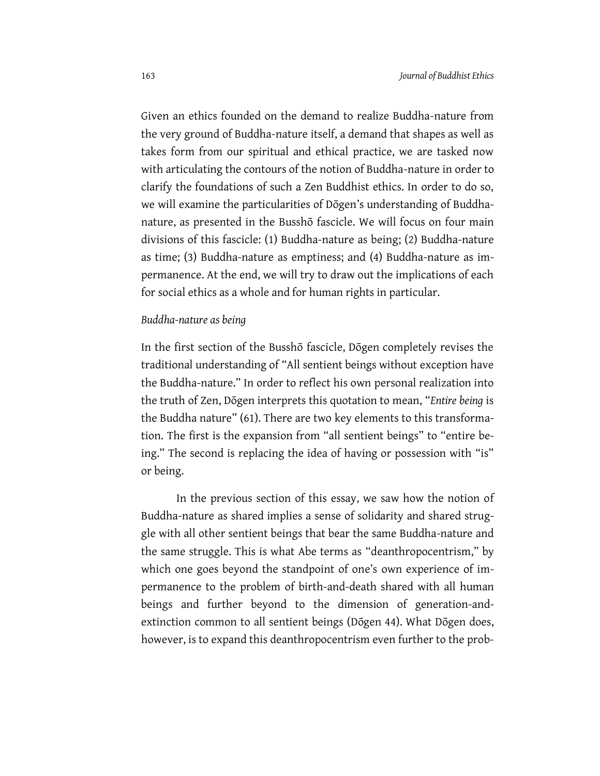Given an ethics founded on the demand to realize Buddha-nature from the very ground of Buddha-nature itself, a demand that shapes as well as takes form from our spiritual and ethical practice, we are tasked now with articulating the contours of the notion of Buddha-nature in order to clarify the foundations of such a Zen Buddhist ethics. In order to do so, we will examine the particularities of Dōgen's understanding of Buddhanature, as presented in the Busshō fascicle. We will focus on four main divisions of this fascicle: (1) Buddha-nature as being; (2) Buddha-nature as time; (3) Buddha-nature as emptiness; and (4) Buddha-nature as impermanence. At the end, we will try to draw out the implications of each for social ethics as a whole and for human rights in particular.

#### *Buddha-nature as being*

In the first section of the Busshō fascicle, Dōgen completely revises the traditional understanding of "All sentient beings without exception have the Buddha-nature." In order to reflect his own personal realization into the truth of Zen, Dōgen interprets this quotation to mean, "*Entire being* is the Buddha nature" (61). There are two key elements to this transformation. The first is the expansion from "all sentient beings" to "entire being." The second is replacing the idea of having or possession with "is" or being.

In the previous section of this essay, we saw how the notion of Buddha-nature as shared implies a sense of solidarity and shared struggle with all other sentient beings that bear the same Buddha-nature and the same struggle. This is what Abe terms as "deanthropocentrism," by which one goes beyond the standpoint of one's own experience of impermanence to the problem of birth-and-death shared with all human beings and further beyond to the dimension of generation-andextinction common to all sentient beings (Dōgen 44). What Dōgen does, however, is to expand this deanthropocentrism even further to the prob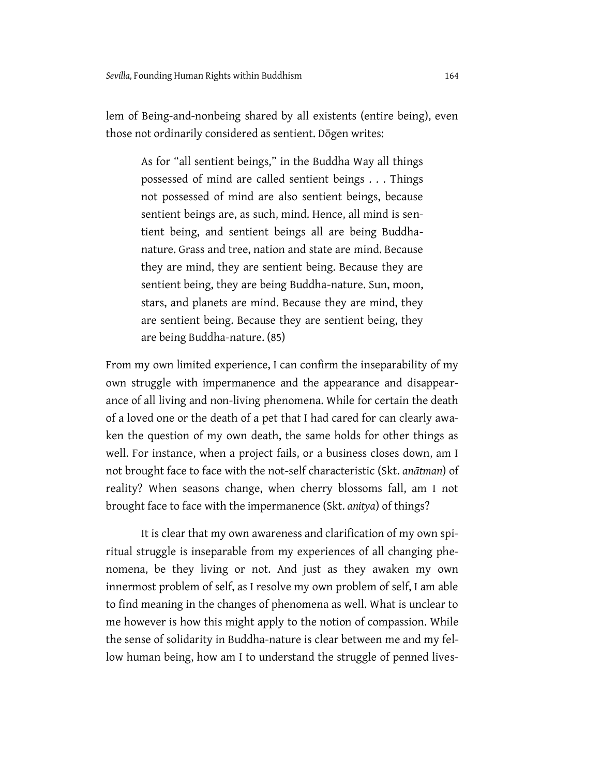lem of Being-and-nonbeing shared by all existents (entire being), even those not ordinarily considered as sentient. Dōgen writes:

As for "all sentient beings," in the Buddha Way all things possessed of mind are called sentient beings . . . Things not possessed of mind are also sentient beings, because sentient beings are, as such, mind. Hence, all mind is sentient being, and sentient beings all are being Buddhanature. Grass and tree, nation and state are mind. Because they are mind, they are sentient being. Because they are sentient being, they are being Buddha-nature. Sun, moon, stars, and planets are mind. Because they are mind, they are sentient being. Because they are sentient being, they are being Buddha-nature. (85)

From my own limited experience, I can confirm the inseparability of my own struggle with impermanence and the appearance and disappearance of all living and non-living phenomena. While for certain the death of a loved one or the death of a pet that I had cared for can clearly awaken the question of my own death, the same holds for other things as well. For instance, when a project fails, or a business closes down, am I not brought face to face with the not-self characteristic (Skt. *anātman*) of reality? When seasons change, when cherry blossoms fall, am I not brought face to face with the impermanence (Skt. *anitya*) of things?

It is clear that my own awareness and clarification of my own spiritual struggle is inseparable from my experiences of all changing phenomena, be they living or not. And just as they awaken my own innermost problem of self, as I resolve my own problem of self, I am able to find meaning in the changes of phenomena as well. What is unclear to me however is how this might apply to the notion of compassion. While the sense of solidarity in Buddha-nature is clear between me and my fellow human being, how am I to understand the struggle of penned lives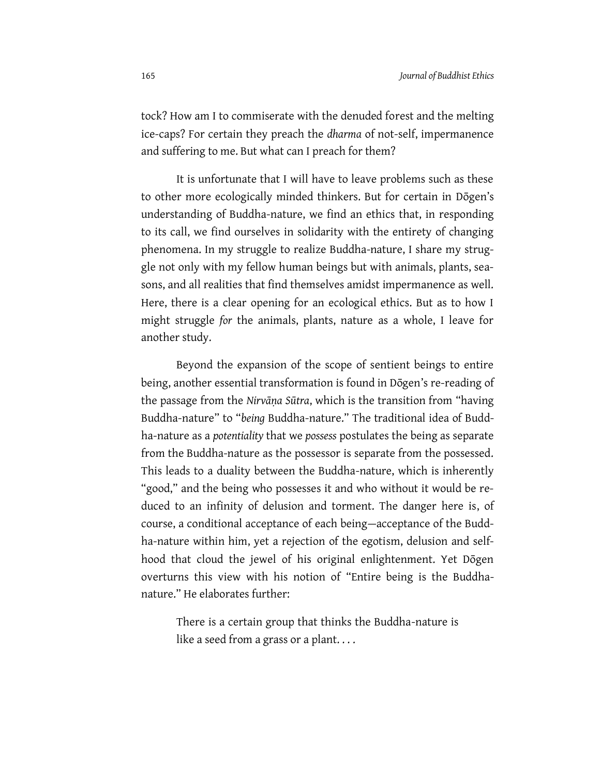tock? How am I to commiserate with the denuded forest and the melting ice-caps? For certain they preach the *dharma* of not-self, impermanence and suffering to me. But what can I preach for them?

It is unfortunate that I will have to leave problems such as these to other more ecologically minded thinkers. But for certain in Dōgen's understanding of Buddha-nature, we find an ethics that, in responding to its call, we find ourselves in solidarity with the entirety of changing phenomena. In my struggle to realize Buddha-nature, I share my struggle not only with my fellow human beings but with animals, plants, seasons, and all realities that find themselves amidst impermanence as well. Here, there is a clear opening for an ecological ethics. But as to how I might struggle *for* the animals, plants, nature as a whole, I leave for another study.

Beyond the expansion of the scope of sentient beings to entire being, another essential transformation is found in Dōgen's re-reading of the passage from the *Nirvāṇa Sūtra*, which is the transition from "having Buddha-nature" to "*being* Buddha-nature." The traditional idea of Buddha-nature as a *potentiality* that we *possess* postulates the being as separate from the Buddha-nature as the possessor is separate from the possessed. This leads to a duality between the Buddha-nature, which is inherently "good," and the being who possesses it and who without it would be reduced to an infinity of delusion and torment. The danger here is, of course, a conditional acceptance of each being—acceptance of the Buddha-nature within him, yet a rejection of the egotism, delusion and selfhood that cloud the jewel of his original enlightenment. Yet Dōgen overturns this view with his notion of "Entire being is the Buddhanature." He elaborates further:

There is a certain group that thinks the Buddha-nature is like a seed from a grass or a plant...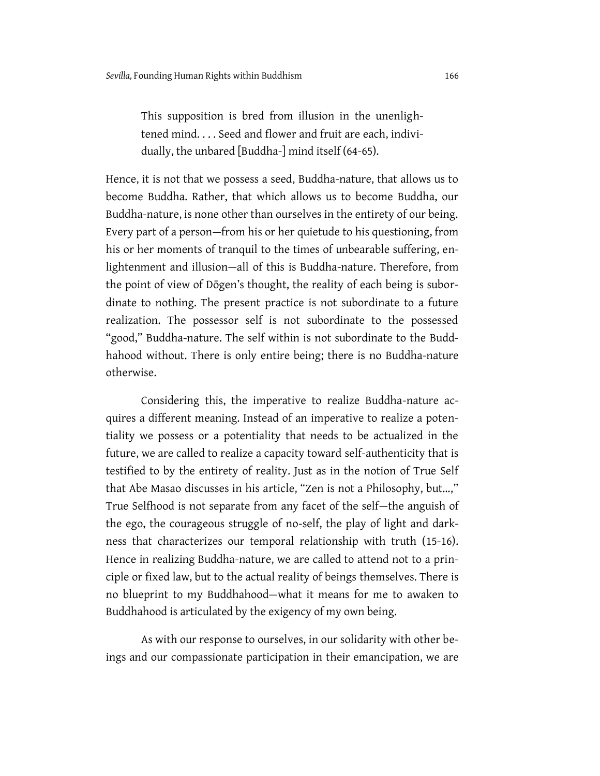This supposition is bred from illusion in the unenlightened mind. . . . Seed and flower and fruit are each, individually, the unbared [Buddha-] mind itself (64-65).

Hence, it is not that we possess a seed, Buddha-nature, that allows us to become Buddha. Rather, that which allows us to become Buddha, our Buddha-nature, is none other than ourselves in the entirety of our being. Every part of a person—from his or her quietude to his questioning, from his or her moments of tranquil to the times of unbearable suffering, enlightenment and illusion—all of this is Buddha-nature. Therefore, from the point of view of Dōgen's thought, the reality of each being is subordinate to nothing. The present practice is not subordinate to a future realization. The possessor self is not subordinate to the possessed "good," Buddha-nature. The self within is not subordinate to the Buddhahood without. There is only entire being; there is no Buddha-nature otherwise.

Considering this, the imperative to realize Buddha-nature acquires a different meaning. Instead of an imperative to realize a potentiality we possess or a potentiality that needs to be actualized in the future, we are called to realize a capacity toward self-authenticity that is testified to by the entirety of reality. Just as in the notion of True Self that Abe Masao discusses in his article, "Zen is not a Philosophy, but…," True Selfhood is not separate from any facet of the self—the anguish of the ego, the courageous struggle of no-self, the play of light and darkness that characterizes our temporal relationship with truth (15-16). Hence in realizing Buddha-nature, we are called to attend not to a principle or fixed law, but to the actual reality of beings themselves. There is no blueprint to my Buddhahood—what it means for me to awaken to Buddhahood is articulated by the exigency of my own being.

As with our response to ourselves, in our solidarity with other beings and our compassionate participation in their emancipation, we are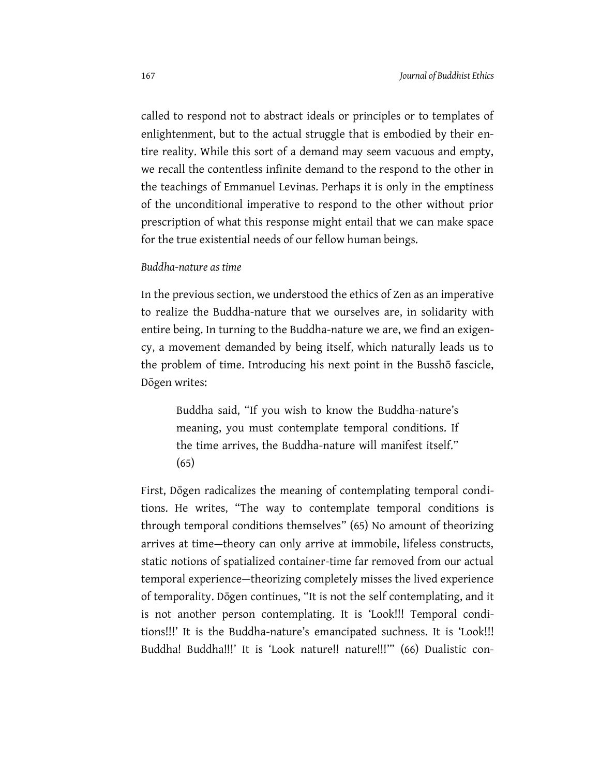called to respond not to abstract ideals or principles or to templates of enlightenment, but to the actual struggle that is embodied by their entire reality. While this sort of a demand may seem vacuous and empty, we recall the contentless infinite demand to the respond to the other in the teachings of Emmanuel Levinas. Perhaps it is only in the emptiness of the unconditional imperative to respond to the other without prior prescription of what this response might entail that we can make space for the true existential needs of our fellow human beings.

#### *Buddha-nature as time*

In the previous section, we understood the ethics of Zen as an imperative to realize the Buddha-nature that we ourselves are, in solidarity with entire being. In turning to the Buddha-nature we are, we find an exigency, a movement demanded by being itself, which naturally leads us to the problem of time. Introducing his next point in the Busshō fascicle, Dōgen writes:

Buddha said, "If you wish to know the Buddha-nature's meaning, you must contemplate temporal conditions. If the time arrives, the Buddha-nature will manifest itself." (65)

First, Dōgen radicalizes the meaning of contemplating temporal conditions. He writes, "The way to contemplate temporal conditions is through temporal conditions themselves" (65) No amount of theorizing arrives at time—theory can only arrive at immobile, lifeless constructs, static notions of spatialized container-time far removed from our actual temporal experience—theorizing completely misses the lived experience of temporality. Dōgen continues, "It is not the self contemplating, and it is not another person contemplating. It is 'Look!!! Temporal conditions!!!' It is the Buddha-nature's emancipated suchness. It is 'Look!!! Buddha! Buddha!!!' It is 'Look nature!! nature!!!"" (66) Dualistic con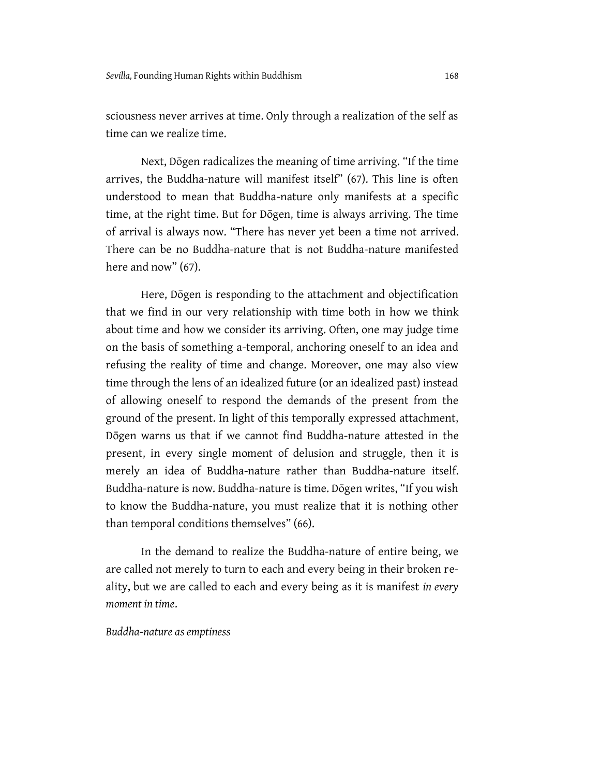sciousness never arrives at time. Only through a realization of the self as time can we realize time.

Next, Dōgen radicalizes the meaning of time arriving. "If the time arrives, the Buddha-nature will manifest itself" (67). This line is often understood to mean that Buddha-nature only manifests at a specific time, at the right time. But for Dōgen, time is always arriving. The time of arrival is always now. "There has never yet been a time not arrived. There can be no Buddha-nature that is not Buddha-nature manifested here and now" (67).

Here, Dōgen is responding to the attachment and objectification that we find in our very relationship with time both in how we think about time and how we consider its arriving. Often, one may judge time on the basis of something a-temporal, anchoring oneself to an idea and refusing the reality of time and change. Moreover, one may also view time through the lens of an idealized future (or an idealized past) instead of allowing oneself to respond the demands of the present from the ground of the present. In light of this temporally expressed attachment, Dōgen warns us that if we cannot find Buddha-nature attested in the present, in every single moment of delusion and struggle, then it is merely an idea of Buddha-nature rather than Buddha-nature itself. Buddha-nature is now. Buddha-nature is time. Dōgen writes, "If you wish to know the Buddha-nature, you must realize that it is nothing other than temporal conditions themselves" (66).

In the demand to realize the Buddha-nature of entire being, we are called not merely to turn to each and every being in their broken reality, but we are called to each and every being as it is manifest *in every moment in time*.

*Buddha-nature as emptiness*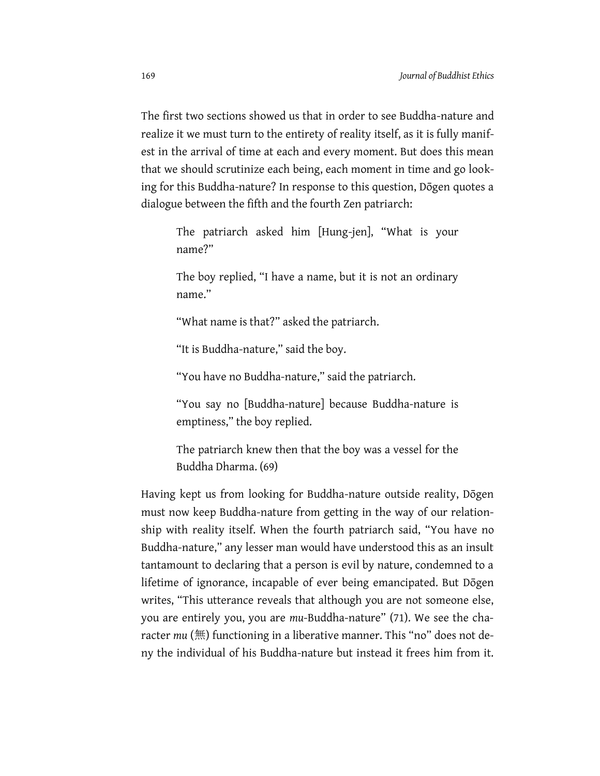The first two sections showed us that in order to see Buddha-nature and realize it we must turn to the entirety of reality itself, as it is fully manifest in the arrival of time at each and every moment. But does this mean that we should scrutinize each being, each moment in time and go looking for this Buddha-nature? In response to this question, Dōgen quotes a dialogue between the fifth and the fourth Zen patriarch:

The patriarch asked him [Hung-jen], "What is your name?"

The boy replied, "I have a name, but it is not an ordinary name."

"What name is that?" asked the patriarch.

"It is Buddha-nature," said the boy.

"You have no Buddha-nature," said the patriarch.

"You say no [Buddha-nature] because Buddha-nature is emptiness," the boy replied.

The patriarch knew then that the boy was a vessel for the Buddha Dharma. (69)

Having kept us from looking for Buddha-nature outside reality, Dōgen must now keep Buddha-nature from getting in the way of our relationship with reality itself. When the fourth patriarch said, "You have no Buddha-nature," any lesser man would have understood this as an insult tantamount to declaring that a person is evil by nature, condemned to a lifetime of ignorance, incapable of ever being emancipated. But Dōgen writes, "This utterance reveals that although you are not someone else, you are entirely you, you are *mu*-Buddha-nature" (71). We see the character *mu* (無) functioning in a liberative manner. This "no" does not deny the individual of his Buddha-nature but instead it frees him from it.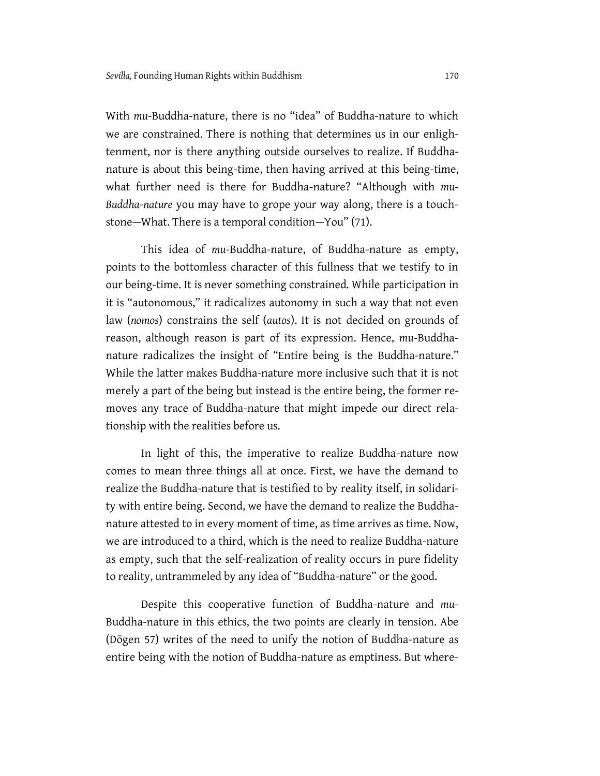With *mu*-Buddha-nature, there is no "idea" of Buddha-nature to which we are constrained. There is nothing that determines us in our enlightenment, nor is there anything outside ourselves to realize. If Buddhanature is about this being-time, then having arrived at this being-time, what further need is there for Buddha-nature? "Although with *mu-Buddha-nature* you may have to grope your way along, there is a touchstone—What. There is a temporal condition—You" (71).

This idea of *mu*-Buddha-nature, of Buddha-nature as empty, points to the bottomless character of this fullness that we testify to in our being-time. It is never something constrained. While participation in it is "autonomous," it radicalizes autonomy in such a way that not even law (*nomos*) constrains the self (*autos*). It is not decided on grounds of reason, although reason is part of its expression. Hence, *mu*-Buddhanature radicalizes the insight of "Entire being is the Buddha-nature." While the latter makes Buddha-nature more inclusive such that it is not merely a part of the being but instead is the entire being, the former removes any trace of Buddha-nature that might impede our direct relationship with the realities before us.

In light of this, the imperative to realize Buddha-nature now comes to mean three things all at once. First, we have the demand to realize the Buddha-nature that is testified to by reality itself, in solidarity with entire being. Second, we have the demand to realize the Buddhanature attested to in every moment of time, as time arrives as time. Now, we are introduced to a third, which is the need to realize Buddha-nature as empty, such that the self-realization of reality occurs in pure fidelity to reality, untrammeled by any idea of "Buddha-nature" or the good.

Despite this cooperative function of Buddha-nature and *mu-*Buddha-nature in this ethics, the two points are clearly in tension. Abe (Dōgen 57) writes of the need to unify the notion of Buddha-nature as entire being with the notion of Buddha-nature as emptiness. But where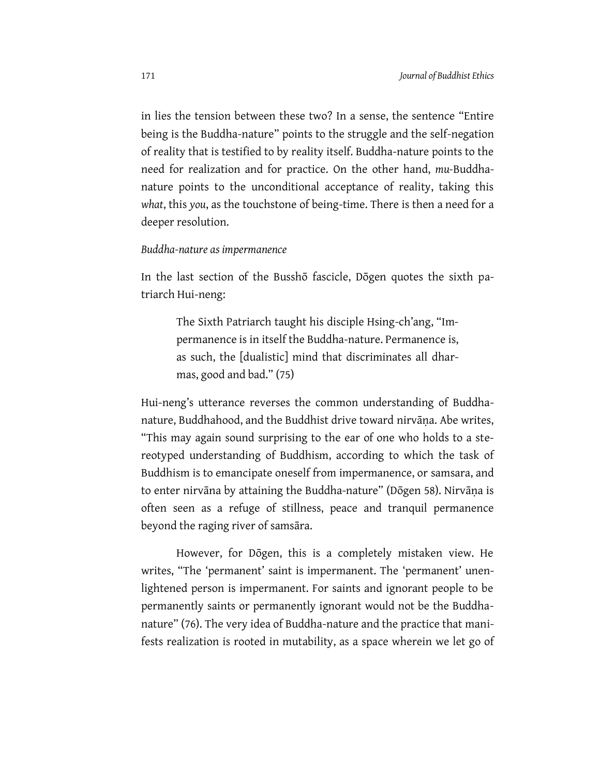in lies the tension between these two? In a sense, the sentence "Entire being is the Buddha-nature" points to the struggle and the self-negation of reality that is testified to by reality itself. Buddha-nature points to the need for realization and for practice. On the other hand, *mu-*Buddhanature points to the unconditional acceptance of reality, taking this *what*, this *you*, as the touchstone of being-time. There is then a need for a deeper resolution.

#### *Buddha-nature as impermanence*

In the last section of the Busshō fascicle, Dōgen quotes the sixth patriarch Hui-neng:

The Sixth Patriarch taught his disciple Hsing-ch'ang, "Impermanence is in itself the Buddha-nature. Permanence is, as such, the [dualistic] mind that discriminates all dharmas, good and bad." (75)

Hui-neng's utterance reverses the common understanding of Buddhanature, Buddhahood, and the Buddhist drive toward nirvāṇa. Abe writes, "This may again sound surprising to the ear of one who holds to a stereotyped understanding of Buddhism, according to which the task of Buddhism is to emancipate oneself from impermanence, or samsara, and to enter nirvāna by attaining the Buddha-nature" (Dōgen 58). Nirvāṇa is often seen as a refuge of stillness, peace and tranquil permanence beyond the raging river of samsāra.

However, for Dōgen, this is a completely mistaken view. He writes, "The 'permanent' saint is impermanent. The 'permanent' unenlightened person is impermanent. For saints and ignorant people to be permanently saints or permanently ignorant would not be the Buddhanature" (76). The very idea of Buddha-nature and the practice that manifests realization is rooted in mutability, as a space wherein we let go of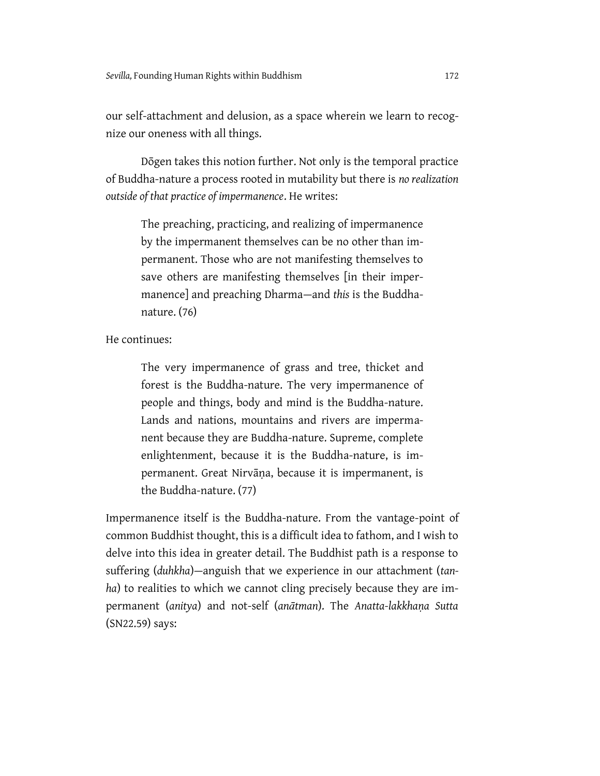our self-attachment and delusion, as a space wherein we learn to recognize our oneness with all things.

Dōgen takes this notion further. Not only is the temporal practice of Buddha-nature a process rooted in mutability but there is *no realization outside of that practice of impermanence*. He writes:

The preaching, practicing, and realizing of impermanence by the impermanent themselves can be no other than impermanent. Those who are not manifesting themselves to save others are manifesting themselves [in their impermanence] and preaching Dharma—and *this* is the Buddhanature. (76)

He continues:

The very impermanence of grass and tree, thicket and forest is the Buddha-nature. The very impermanence of people and things, body and mind is the Buddha-nature. Lands and nations, mountains and rivers are impermanent because they are Buddha-nature. Supreme, complete enlightenment, because it is the Buddha-nature, is impermanent. Great Nirvāṇa, because it is impermanent, is the Buddha-nature. (77)

Impermanence itself is the Buddha-nature. From the vantage-point of common Buddhist thought, this is a difficult idea to fathom, and I wish to delve into this idea in greater detail. The Buddhist path is a response to suffering (*duhkha*)—anguish that we experience in our attachment (*tanha*) to realities to which we cannot cling precisely because they are impermanent (*anitya*) and not-self (*anātman*). The *Anatta-lakkhaṇa Sutta* (SN22.59) says: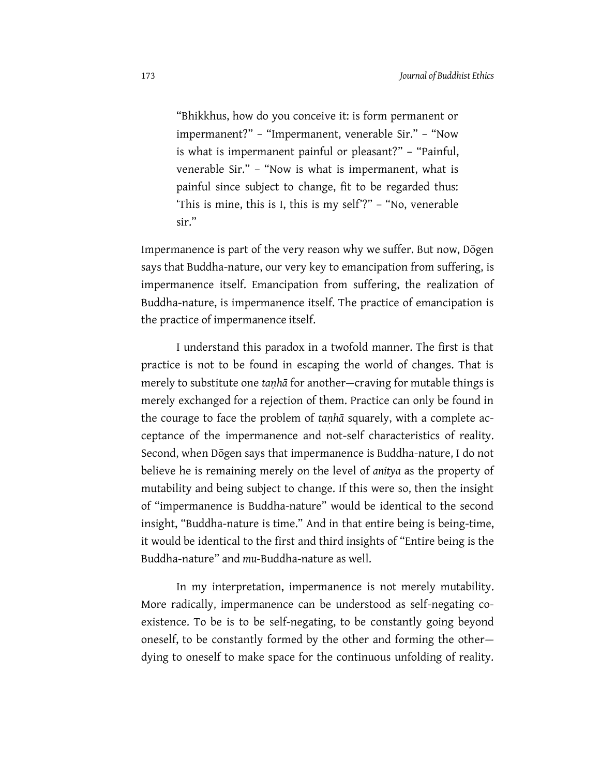"Bhikkhus, how do you conceive it: is form permanent or impermanent?" – "Impermanent, venerable Sir." – "Now is what is impermanent painful or pleasant?" – "Painful, venerable Sir." – "Now is what is impermanent, what is painful since subject to change, fit to be regarded thus: 'This is mine, this is I, this is my self'?" - "No, venerable sir."

Impermanence is part of the very reason why we suffer. But now, Dōgen says that Buddha-nature, our very key to emancipation from suffering, is impermanence itself. Emancipation from suffering, the realization of Buddha-nature, is impermanence itself. The practice of emancipation is the practice of impermanence itself.

I understand this paradox in a twofold manner. The first is that practice is not to be found in escaping the world of changes. That is merely to substitute one *taṇhā* for another—craving for mutable things is merely exchanged for a rejection of them. Practice can only be found in the courage to face the problem of *taṇhā* squarely, with a complete acceptance of the impermanence and not-self characteristics of reality. Second, when Dōgen says that impermanence is Buddha-nature, I do not believe he is remaining merely on the level of *anitya* as the property of mutability and being subject to change. If this were so, then the insight of "impermanence is Buddha-nature" would be identical to the second insight, "Buddha-nature is time." And in that entire being is being-time, it would be identical to the first and third insights of "Entire being is the Buddha-nature" and *mu-*Buddha-nature as well.

In my interpretation, impermanence is not merely mutability. More radically, impermanence can be understood as self-negating coexistence. To be is to be self-negating, to be constantly going beyond oneself, to be constantly formed by the other and forming the other dying to oneself to make space for the continuous unfolding of reality.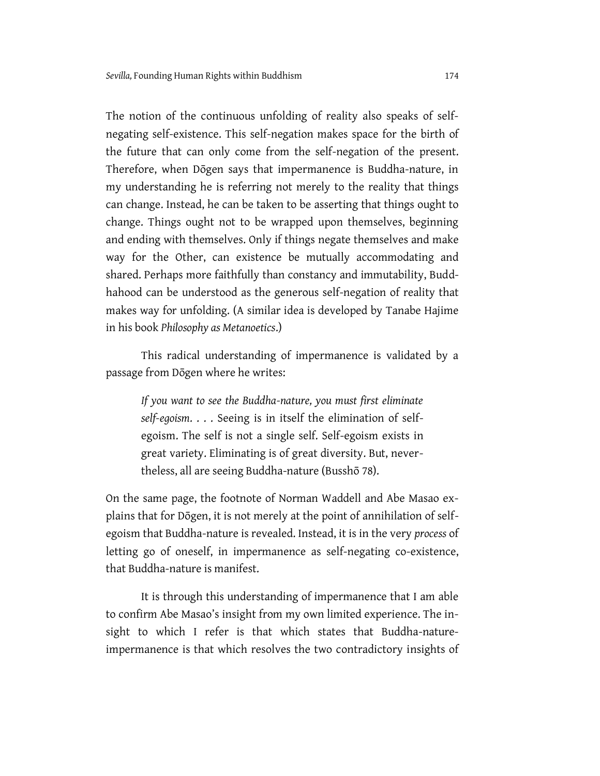The notion of the continuous unfolding of reality also speaks of selfnegating self-existence. This self-negation makes space for the birth of the future that can only come from the self-negation of the present. Therefore, when Dōgen says that impermanence is Buddha-nature, in my understanding he is referring not merely to the reality that things can change. Instead, he can be taken to be asserting that things ought to change. Things ought not to be wrapped upon themselves, beginning and ending with themselves. Only if things negate themselves and make way for the Other, can existence be mutually accommodating and shared. Perhaps more faithfully than constancy and immutability, Buddhahood can be understood as the generous self-negation of reality that makes way for unfolding. (A similar idea is developed by Tanabe Hajime in his book *Philosophy as Metanoetics*.)

This radical understanding of impermanence is validated by a passage from Dōgen where he writes:

*If you want to see the Buddha-nature, you must first eliminate self-egoism*. . . . Seeing is in itself the elimination of selfegoism. The self is not a single self. Self-egoism exists in great variety. Eliminating is of great diversity. But, nevertheless, all are seeing Buddha-nature (Busshō 78).

On the same page, the footnote of Norman Waddell and Abe Masao explains that for Dōgen, it is not merely at the point of annihilation of selfegoism that Buddha-nature is revealed. Instead, it is in the very *process* of letting go of oneself, in impermanence as self-negating co-existence, that Buddha-nature is manifest.

It is through this understanding of impermanence that I am able to confirm Abe Masao's insight from my own limited experience. The insight to which I refer is that which states that Buddha-natureimpermanence is that which resolves the two contradictory insights of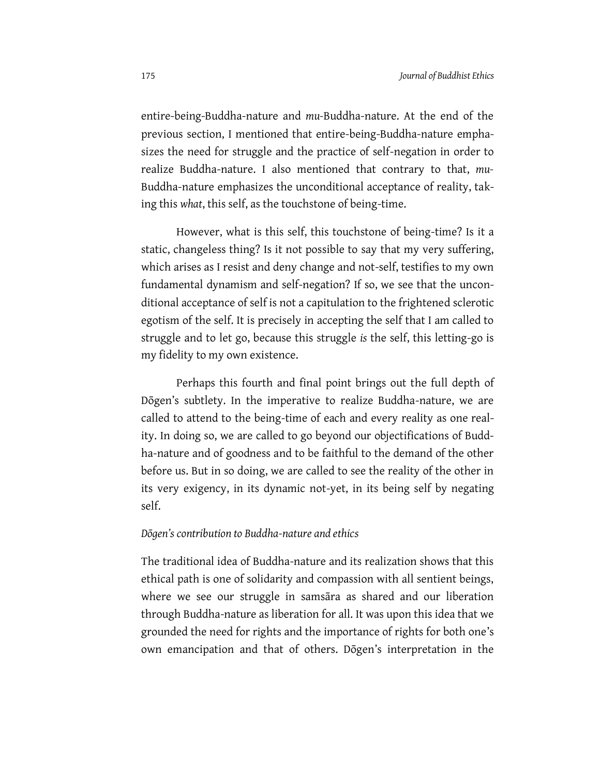entire-being-Buddha-nature and *mu-*Buddha-nature. At the end of the previous section, I mentioned that entire-being-Buddha-nature emphasizes the need for struggle and the practice of self-negation in order to realize Buddha-nature. I also mentioned that contrary to that, *mu-*Buddha-nature emphasizes the unconditional acceptance of reality, taking this *what*, this self, as the touchstone of being-time.

However, what is this self, this touchstone of being-time? Is it a static, changeless thing? Is it not possible to say that my very suffering, which arises as I resist and deny change and not-self, testifies to my own fundamental dynamism and self-negation? If so, we see that the unconditional acceptance of self is not a capitulation to the frightened sclerotic egotism of the self. It is precisely in accepting the self that I am called to struggle and to let go, because this struggle *is* the self, this letting-go is my fidelity to my own existence.

Perhaps this fourth and final point brings out the full depth of Dōgen's subtlety. In the imperative to realize Buddha-nature, we are called to attend to the being-time of each and every reality as one reality. In doing so, we are called to go beyond our objectifications of Buddha-nature and of goodness and to be faithful to the demand of the other before us. But in so doing, we are called to see the reality of the other in its very exigency, in its dynamic not-yet, in its being self by negating self.

#### *Dōgen's contribution to Buddha-nature and ethics*

The traditional idea of Buddha-nature and its realization shows that this ethical path is one of solidarity and compassion with all sentient beings, where we see our struggle in samsāra as shared and our liberation through Buddha-nature as liberation for all. It was upon this idea that we grounded the need for rights and the importance of rights for both one's own emancipation and that of others. Dogen's interpretation in the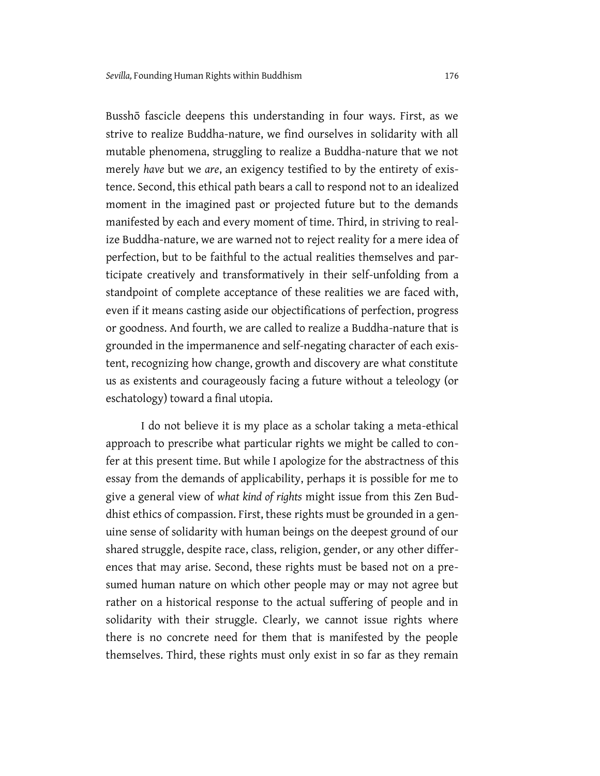Busshō fascicle deepens this understanding in four ways. First, as we strive to realize Buddha-nature, we find ourselves in solidarity with all mutable phenomena, struggling to realize a Buddha-nature that we not merely *have* but we *are*, an exigency testified to by the entirety of existence. Second, this ethical path bears a call to respond not to an idealized moment in the imagined past or projected future but to the demands manifested by each and every moment of time. Third, in striving to realize Buddha-nature, we are warned not to reject reality for a mere idea of perfection, but to be faithful to the actual realities themselves and participate creatively and transformatively in their self-unfolding from a standpoint of complete acceptance of these realities we are faced with, even if it means casting aside our objectifications of perfection, progress or goodness. And fourth, we are called to realize a Buddha-nature that is grounded in the impermanence and self-negating character of each existent, recognizing how change, growth and discovery are what constitute us as existents and courageously facing a future without a teleology (or eschatology) toward a final utopia.

I do not believe it is my place as a scholar taking a meta-ethical approach to prescribe what particular rights we might be called to confer at this present time. But while I apologize for the abstractness of this essay from the demands of applicability, perhaps it is possible for me to give a general view of *what kind of rights* might issue from this Zen Buddhist ethics of compassion. First, these rights must be grounded in a genuine sense of solidarity with human beings on the deepest ground of our shared struggle, despite race, class, religion, gender, or any other differences that may arise. Second, these rights must be based not on a presumed human nature on which other people may or may not agree but rather on a historical response to the actual suffering of people and in solidarity with their struggle. Clearly, we cannot issue rights where there is no concrete need for them that is manifested by the people themselves. Third, these rights must only exist in so far as they remain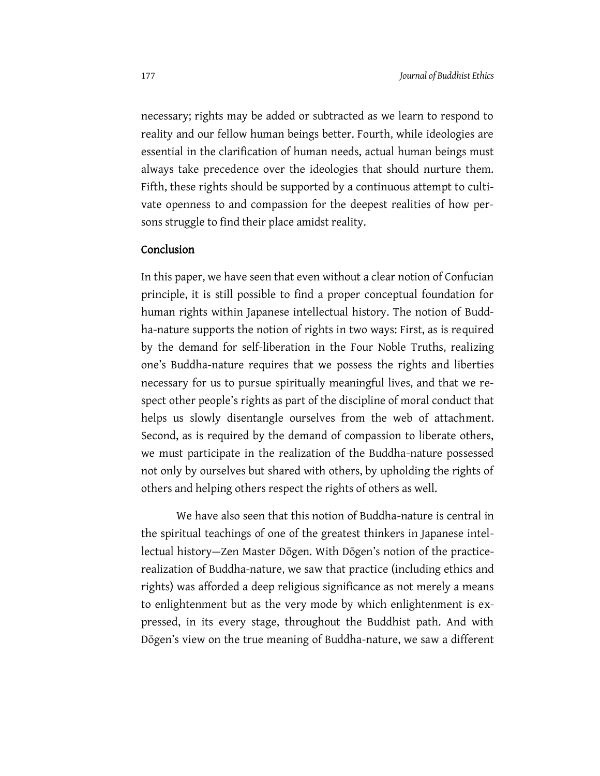necessary; rights may be added or subtracted as we learn to respond to reality and our fellow human beings better. Fourth, while ideologies are essential in the clarification of human needs, actual human beings must always take precedence over the ideologies that should nurture them. Fifth, these rights should be supported by a continuous attempt to cultivate openness to and compassion for the deepest realities of how persons struggle to find their place amidst reality.

#### Conclusion

In this paper, we have seen that even without a clear notion of Confucian principle, it is still possible to find a proper conceptual foundation for human rights within Japanese intellectual history. The notion of Buddha-nature supports the notion of rights in two ways: First, as is required by the demand for self-liberation in the Four Noble Truths, realizing one's Buddha-nature requires that we possess the rights and liberties necessary for us to pursue spiritually meaningful lives, and that we respect other people's rights as part of the discipline of moral conduct that helps us slowly disentangle ourselves from the web of attachment. Second, as is required by the demand of compassion to liberate others, we must participate in the realization of the Buddha-nature possessed not only by ourselves but shared with others, by upholding the rights of others and helping others respect the rights of others as well.

We have also seen that this notion of Buddha-nature is central in the spiritual teachings of one of the greatest thinkers in Japanese intellectual history-Zen Master Dōgen. With Dōgen's notion of the practicerealization of Buddha-nature, we saw that practice (including ethics and rights) was afforded a deep religious significance as not merely a means to enlightenment but as the very mode by which enlightenment is expressed, in its every stage, throughout the Buddhist path. And with Dōgen's view on the true meaning of Buddha-nature, we saw a different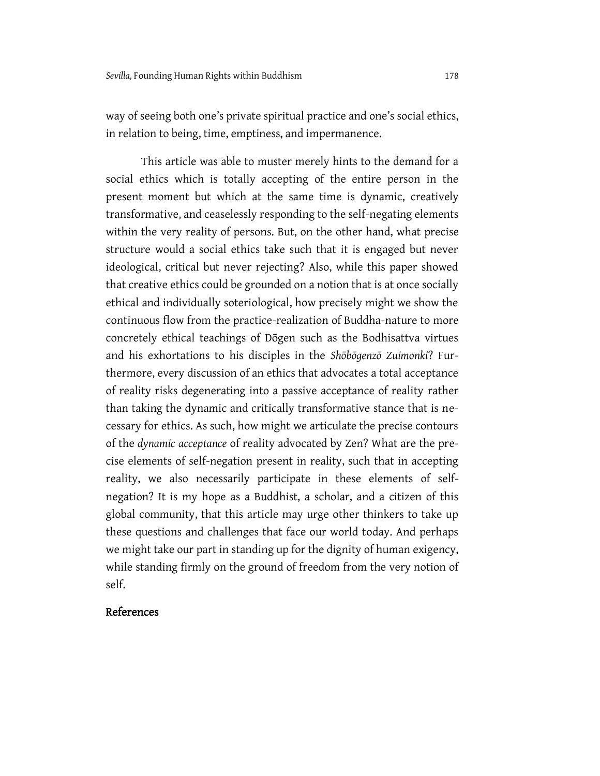way of seeing both one's private spiritual practice and one's social ethics, in relation to being, time, emptiness, and impermanence.

This article was able to muster merely hints to the demand for a social ethics which is totally accepting of the entire person in the present moment but which at the same time is dynamic, creatively transformative, and ceaselessly responding to the self-negating elements within the very reality of persons. But, on the other hand, what precise structure would a social ethics take such that it is engaged but never ideological, critical but never rejecting? Also, while this paper showed that creative ethics could be grounded on a notion that is at once socially ethical and individually soteriological, how precisely might we show the continuous flow from the practice-realization of Buddha-nature to more concretely ethical teachings of Dōgen such as the Bodhisattva virtues and his exhortations to his disciples in the *Shōbōgenzō Zuimonki*? Furthermore, every discussion of an ethics that advocates a total acceptance of reality risks degenerating into a passive acceptance of reality rather than taking the dynamic and critically transformative stance that is necessary for ethics. As such, how might we articulate the precise contours of the *dynamic acceptance* of reality advocated by Zen? What are the precise elements of self-negation present in reality, such that in accepting reality, we also necessarily participate in these elements of selfnegation? It is my hope as a Buddhist, a scholar, and a citizen of this global community, that this article may urge other thinkers to take up these questions and challenges that face our world today. And perhaps we might take our part in standing up for the dignity of human exigency, while standing firmly on the ground of freedom from the very notion of self.

## References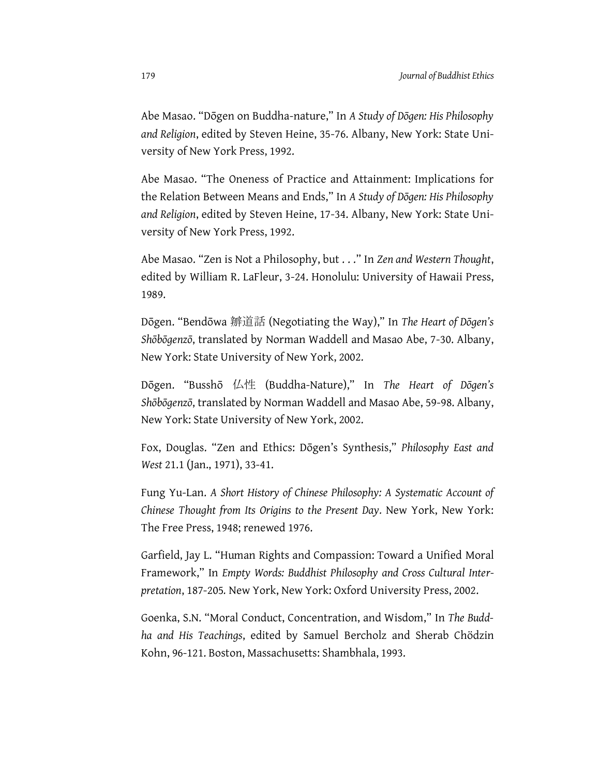Abe Masao. "Dōgen on Buddha-nature," In *A Study of Dōgen: His Philosophy and Religion*, edited by Steven Heine, 35-76. Albany, New York: State University of New York Press, 1992.

Abe Masao. "The Oneness of Practice and Attainment: Implications for the Relation Between Means and Ends," In *A Study of Dōgen: His Philosophy and Religion*, edited by Steven Heine, 17-34. Albany, New York: State University of New York Press, 1992.

Abe Masao. "Zen is Not a Philosophy, but . . ." In *Zen and Western Thought*, edited by William R. LaFleur, 3-24. Honolulu: University of Hawaii Press, 1989.

Dōgen. "Bendōwa 辧道話 (Negotiating the Way)," In *The Heart of Dōgen's Shōbōgenzō*, translated by Norman Waddell and Masao Abe, 7-30. Albany, New York: State University of New York, 2002.

Dōgen. "Busshō 仏性 (Buddha-Nature)," In *The Heart of Dōgen's Shōbōgenzō*, translated by Norman Waddell and Masao Abe, 59-98. Albany, New York: State University of New York, 2002.

Fox, Douglas. "Zen and Ethics: Dōgen's Synthesis," *Philosophy East and West* 21.1 (Jan., 1971), 33-41.

Fung Yu-Lan. *A Short History of Chinese Philosophy: A Systematic Account of Chinese Thought from Its Origins to the Present Day.* New York, New York: The Free Press, 1948; renewed 1976.

Garfield, Jay L. "Human Rights and Compassion: Toward a Unified Moral Framework," In *Empty Words: Buddhist Philosophy and Cross Cultural Interpretation*, 187-205*.* New York, New York: Oxford University Press, 2002.

Goenka, S.N. "Moral Conduct, Concentration, and Wisdom," In *The Buddha and His Teachings*, edited by Samuel Bercholz and Sherab Chödzin Kohn, 96-121. Boston, Massachusetts: Shambhala, 1993.